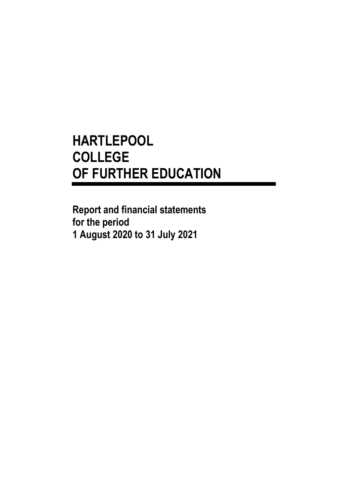**Report and financial statements for the period 1 August 2020 to 31 July 2021**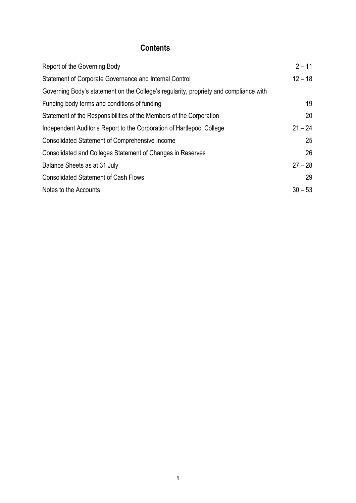## **Contents**

| Report of the Governing Body                                                          | $2 - 11$  |
|---------------------------------------------------------------------------------------|-----------|
| Statement of Corporate Governance and Internal Control                                | $12 - 18$ |
| Governing Body's statement on the College's regularity, propriety and compliance with |           |
| Funding body terms and conditions of funding                                          | 19        |
| Statement of the Responsibilities of the Members of the Corporation                   | 20        |
| Independent Auditor's Report to the Corporation of Hartlepool College                 | $21 - 24$ |
| <b>Consolidated Statement of Comprehensive Income</b>                                 | 25        |
| Consolidated and Colleges Statement of Changes in Reserves                            | 26        |
| Balance Sheets as at 31 July                                                          | $27 - 28$ |
| <b>Consolidated Statement of Cash Flows</b>                                           | 29        |
| Notes to the Accounts                                                                 | $30 - 53$ |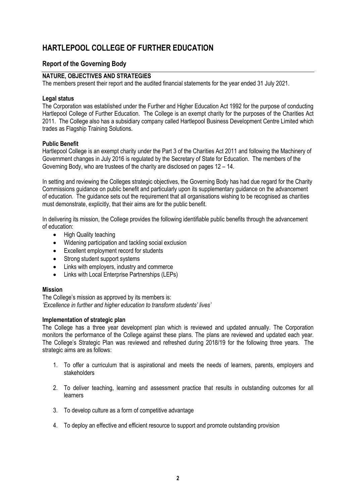### **Report of the Governing Body**

### **NATURE, OBJECTIVES AND STRATEGIES**

The members present their report and the audited financial statements for the year ended 31 July 2021.

#### **Legal status**

The Corporation was established under the Further and Higher Education Act 1992 for the purpose of conducting Hartlepool College of Further Education. The College is an exempt charity for the purposes of the Charities Act 2011. The College also has a subsidiary company called Hartlepool Business Development Centre Limited which trades as Flagship Training Solutions.

#### **Public Benefit**

Hartlepool College is an exempt charity under the Part 3 of the Charities Act 2011 and following the Machinery of Government changes in July 2016 is regulated by the Secretary of State for Education. The members of the Governing Body, who are trustees of the charity are disclosed on pages 12 – 14.

In setting and reviewing the Colleges strategic objectives, the Governing Body has had due regard for the Charity Commissions guidance on public benefit and particularly upon its supplementary guidance on the advancement of education. The guidance sets out the requirement that all organisations wishing to be recognised as charities must demonstrate, explicitly, that their aims are for the public benefit.

In delivering its mission, the College provides the following identifiable public benefits through the advancement of education:

- High Quality teaching
- Widening participation and tackling social exclusion
- Excellent employment record for students
- Strong student support systems
- Links with employers, industry and commerce
- Links with Local Enterprise Partnerships (LEPs)

#### **Mission**

The College's mission as approved by its members is: *'Excellence in further and higher education to transform students' lives'*

#### **Implementation of strategic plan**

The College has a three year development plan which is reviewed and updated annually. The Corporation monitors the performance of the College against these plans. The plans are reviewed and updated each year. The College's Strategic Plan was reviewed and refreshed during 2018/19 for the following three years. The strategic aims are as follows:

- 1. To offer a curriculum that is aspirational and meets the needs of learners, parents, employers and stakeholders
- 2. To deliver teaching, learning and assessment practice that results in outstanding outcomes for all learners
- 3. To develop culture as a form of competitive advantage
- 4. To deploy an effective and efficient resource to support and promote outstanding provision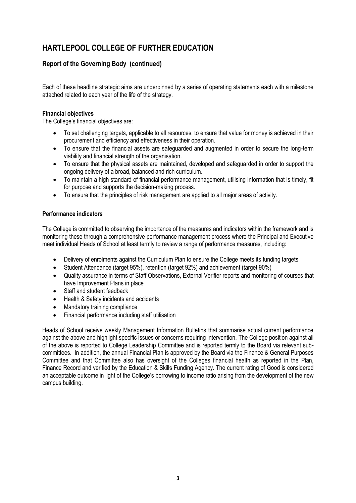## **Report of the Governing Body (continued)**

Each of these headline strategic aims are underpinned by a series of operating statements each with a milestone attached related to each year of the life of the strategy.

### **Financial objectives**

The College's financial objectives are:

- To set challenging targets, applicable to all resources, to ensure that value for money is achieved in their procurement and efficiency and effectiveness in their operation.
- To ensure that the financial assets are safeguarded and augmented in order to secure the long-term viability and financial strength of the organisation.
- To ensure that the physical assets are maintained, developed and safeguarded in order to support the ongoing delivery of a broad, balanced and rich curriculum.
- To maintain a high standard of financial performance management, utilising information that is timely, fit for purpose and supports the decision-making process.
- To ensure that the principles of risk management are applied to all major areas of activity.

#### **Performance indicators**

The College is committed to observing the importance of the measures and indicators within the framework and is monitoring these through a comprehensive performance management process where the Principal and Executive meet individual Heads of School at least termly to review a range of performance measures, including:

- Delivery of enrolments against the Curriculum Plan to ensure the College meets its funding targets
- Student Attendance (target 95%), retention (target 92%) and achievement (target 90%)
- Quality assurance in terms of Staff Observations, External Verifier reports and monitoring of courses that have Improvement Plans in place
- Staff and student feedback
- Health & Safety incidents and accidents
- Mandatory training compliance
- Financial performance including staff utilisation

Heads of School receive weekly Management Information Bulletins that summarise actual current performance against the above and highlight specific issues or concerns requiring intervention. The College position against all of the above is reported to College Leadership Committee and is reported termly to the Board via relevant subcommittees. In addition, the annual Financial Plan is approved by the Board via the Finance & General Purposes Committee and that Committee also has oversight of the Colleges financial health as reported in the Plan, Finance Record and verified by the Education & Skills Funding Agency. The current rating of Good is considered an acceptable outcome in light of the College's borrowing to income ratio arising from the development of the new campus building.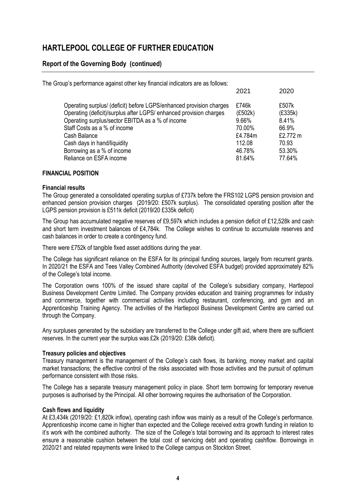## **Report of the Governing Body (continued)**

| The Group's performance against other key financial indicators are as follows:                                                                                                                                                                                                                             |                                                                    |                                                                   |
|------------------------------------------------------------------------------------------------------------------------------------------------------------------------------------------------------------------------------------------------------------------------------------------------------------|--------------------------------------------------------------------|-------------------------------------------------------------------|
|                                                                                                                                                                                                                                                                                                            | 2021                                                               | 2020                                                              |
| Operating surplus/ (deficit) before LGPS/enhanced provision charges<br>Operating (deficit)/surplus after LGPS/ enhanced provision charges<br>Operating surplus/sector EBITDA as a % of income<br>Staff Costs as a % of income<br>Cash Balance<br>Cash days in hand/liquidity<br>Borrowing as a % of income | £746k<br>(E502k)<br>9.66%<br>70.00%<br>£4.784m<br>112.08<br>46.78% | £507k<br>(E335k)<br>8.41%<br>66.9%<br>£2.772 m<br>70.93<br>53.30% |
| Reliance on ESFA income                                                                                                                                                                                                                                                                                    | 81.64%                                                             | 77.64%                                                            |

### **FINANCIAL POSITION**

#### **Financial results**

The Group generated a consolidated operating surplus of £737k before the FRS102 LGPS pension provision and enhanced pension provision charges (2019/20: £507k surplus). The consolidated operating position after the LGPS pension provision is £511k deficit (2019/20 £335k deficit)

The Group has accumulated negative reserves of £9,597k which includes a pension deficit of £12,528k and cash and short term investment balances of £4,784k. The College wishes to continue to accumulate reserves and cash balances in order to create a contingency fund.

There were £752k of tangible fixed asset additions during the year.

The College has significant reliance on the ESFA for its principal funding sources, largely from recurrent grants. In 2020/21 the ESFA and Tees Valley Combined Authority (devolved ESFA budget) provided approximately 82% of the College's total income.

The Corporation owns 100% of the issued share capital of the College's subsidiary company, Hartlepool Business Development Centre Limited. The Company provides education and training programmes for industry and commerce, together with commercial activities including restaurant, conferencing, and gym and an Apprenticeship Training Agency. The activities of the Hartlepool Business Development Centre are carried out through the Company.

Any surpluses generated by the subsidiary are transferred to the College under gift aid, where there are sufficient reserves. In the current year the surplus was £2k (2019/20: £38k deficit).

### **Treasury policies and objectives**

Treasury management is the management of the College's cash flows, its banking, money market and capital market transactions; the effective control of the risks associated with those activities and the pursuit of optimum performance consistent with those risks.

The College has a separate treasury management policy in place. Short term borrowing for temporary revenue purposes is authorised by the Principal. All other borrowing requires the authorisation of the Corporation.

#### **Cash flows and liquidity**

At £3,434k (2019/20: £1,820k inflow), operating cash inflow was mainly as a result of the College's performance. Apprenticeship income came in higher than expected and the College received extra growth funding in relation to it's work with the combined authority. The size of the College's total borrowing and its approach to interest rates ensure a reasonable cushion between the total cost of servicing debt and operating cashflow. Borrowings in 2020/21 and related repayments were linked to the College campus on Stockton Street.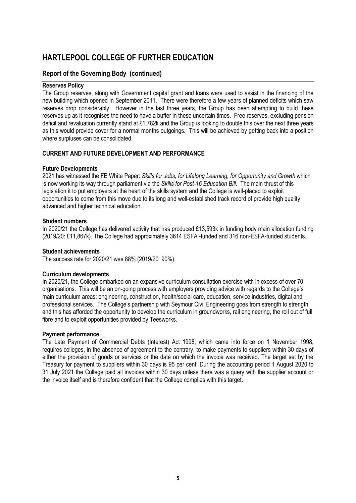## **Report of the Governing Body (continued)**

#### **Reserves Policy**

The Group reserves, along with Government capital grant and loans were used to assist in the financing of the new building which opened in September 2011. There were therefore a few years of planned deficits which saw reserves drop considerably. However in the last three years, the Group has been attempting to build these reserves up as it recognises the need to have a buffer in these uncertain times. Free reserves, excluding pension deficit and revaluation currently stand at £1,782k and the Group is looking to double this over the next three years as this would provide cover for a normal months outgoings. This will be achieved by getting back into a position where surpluses can be consolidated.

#### **CURRENT AND FUTURE DEVELOPMENT AND PERFORMANCE**

#### **Future Developments**

2021 has witnessed the FE White Paper: *Skills for Jobs, for Lifelong Learning, for Opportunity and Growth* which is now working its way through parliament via the *Skills for Post-16 Education Bill.* The main thrust of this legislation it to put employers at the heart of the skills system and the College is well-placed to exploit opportunities to come from this move due to its long and well-established track record of provide high quality advanced and higher technical education.

#### **Student numbers**

In 2020/21 the College has delivered activity that has produced £13,593k in funding body main allocation funding (2019/20: £11,867k). The College had approximately 3614 ESFA -funded and 316 non-ESFA-funded students.

#### **Student achievements**

The success rate for 2020/21 was 88% (2019/20 90%).

#### **Curriculum developments**

In 2020/21, the College embarked on an expansive curriculum consultation exercise with in excess of over 70 organisations. This will be an on-going process with employers providing advice with regards to the College's main curriculum areas: engineering, construction, health/social care, education, service industries, digital and professional services. The College's partnership with Seymour Civil Engineering goes from strength to strength and this has afforded the opportunity to develop the curriculum in groundworks, rail engineering, the roll out of full fibre and to exploit opportunities provided by Teesworks.

#### **Payment performance**

The Late Payment of Commercial Debts (Interest) Act 1998, which came into force on 1 November 1998, requires colleges, in the absence of agreement to the contrary, to make payments to suppliers within 30 days of either the provision of goods or services or the date on which the invoice was received. The target set by the Treasury for payment to suppliers within 30 days is 95 per cent. During the accounting period 1 August 2020 to 31 July 2021 the College paid all invoices within 30 days unless there was a query with the supplier account or the invoice itself and is therefore confident that the College complies with this target.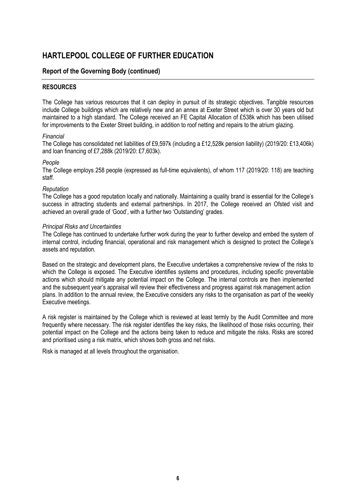### **Report of the Governing Body (continued)**

#### **RESOURCES**

The College has various resources that it can deploy in pursuit of its strategic objectives. Tangible resources include College buildings which are relatively new and an annex at Exeter Street which is over 30 years old but maintained to a high standard. The College received an FE Capital Allocation of £538k which has been utilised for improvements to the Exeter Street building, in addition to roof netting and repairs to the atrium glazing.

#### *Financial*

The College has consolidated net liabilities of £9,597k (including a £12,528k pension liability) (2019/20: £13,406k) and loan financing of £7,288k (2019/20: £7,603k).

#### *People*

The College employs 258 people (expressed as full-time equivalents), of whom 117 (2019/20: 118) are teaching staff.

#### *Reputation*

The College has a good reputation locally and nationally. Maintaining a quality brand is essential for the College's success in attracting students and external partnerships. In 2017, the College received an Ofsted visit and achieved an overall grade of 'Good', with a further two 'Outstanding' grades.

#### *Principal Risks and Uncertainties*

The College has continued to undertake further work during the year to further develop and embed the system of internal control, including financial, operational and risk management which is designed to protect the College's assets and reputation.

Based on the strategic and development plans, the Executive undertakes a comprehensive review of the risks to which the College is exposed. The Executive identifies systems and procedures, including specific preventable actions which should mitigate any potential impact on the College. The internal controls are then implemented and the subsequent year's appraisal will review their effectiveness and progress against risk management action plans. In addition to the annual review, the Executive considers any risks to the organisation as part of the weekly Executive meetings.

A risk register is maintained by the College which is reviewed at least termly by the Audit Committee and more frequently where necessary. The risk register identifies the key risks, the likelihood of those risks occurring, their potential impact on the College and the actions being taken to reduce and mitigate the risks. Risks are scored and prioritised using a risk matrix, which shows both gross and net risks.

Risk is managed at all levels throughout the organisation.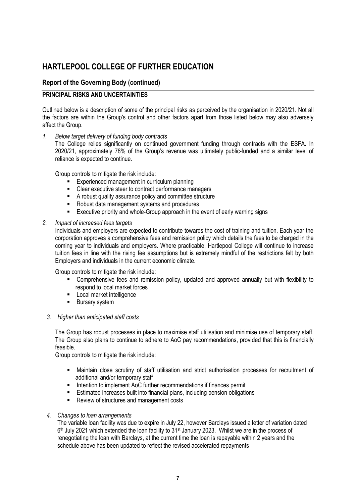### **Report of the Governing Body (continued)**

#### **PRINCIPAL RISKS AND UNCERTAINTIES**

Outlined below is a description of some of the principal risks as perceived by the organisation in 2020/21. Not all the factors are within the Group's control and other factors apart from those listed below may also adversely affect the Group.

*1. Below target delivery of funding body contracts*

The College relies significantly on continued government funding through contracts with the ESFA. In 2020/21, approximately 78% of the Group's revenue was ultimately public-funded and a similar level of reliance is expected to continue.

Group controls to mitigate the risk include:

- Experienced management in curriculum planning
- Clear executive steer to contract performance managers
- A robust quality assurance policy and committee structure
- Robust data management systems and procedures
- Executive priority and whole-Group approach in the event of early warning signs

#### *2. Impact of increased fees targets*

Individuals and employers are expected to contribute towards the cost of training and tuition. Each year the corporation approves a comprehensive fees and remission policy which details the fees to be charged in the coming year to individuals and employers. Where practicable, Hartlepool College will continue to increase tuition fees in line with the rising fee assumptions but is extremely mindful of the restrictions felt by both Employers and individuals in the current economic climate.

Group controls to mitigate the risk include:

- Comprehensive fees and remission policy, updated and approved annually but with flexibility to respond to local market forces
- Local market intelligence
- Bursary system

#### *3. Higher than anticipated staff costs*

The Group has robust processes in place to maximise staff utilisation and minimise use of temporary staff. The Group also plans to continue to adhere to AoC pay recommendations, provided that this is financially feasible.

Group controls to mitigate the risk include:

- Maintain close scrutiny of staff utilisation and strict authorisation processes for recruitment of additional and/or temporary staff
- Intention to implement AoC further recommendations if finances permit
- Estimated increases built into financial plans, including pension obligations
- Review of structures and management costs

#### *4. Changes to loan arrangements*

The variable loan facility was due to expire in July 22, however Barclays issued a letter of variation dated 6<sup>th</sup> July 2021 which extended the loan facility to 31<sup>st</sup> January 2023. Whilst we are in the process of renegotiating the loan with Barclays, at the current time the loan is repayable within 2 years and the schedule above has been updated to reflect the revised accelerated repayments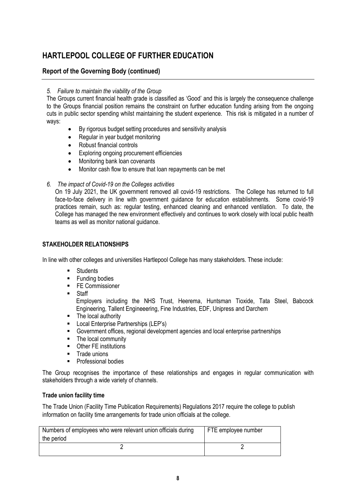## **Report of the Governing Body (continued)**

### *5. Failure to maintain the viability of the Group*

The Groups current financial health grade is classified as 'Good' and this is largely the consequence challenge to the Groups financial position remains the constraint on further education funding arising from the ongoing cuts in public sector spending whilst maintaining the student experience. This risk is mitigated in a number of ways:

- By rigorous budget setting procedures and sensitivity analysis
- Regular in year budget monitoring
- Robust financial controls
- Exploring ongoing procurement efficiencies
- Monitoring bank loan covenants
- Monitor cash flow to ensure that loan repayments can be met
- *6. The impact of Covid-19 on the Colleges activities*

On 19 July 2021, the UK government removed all covid-19 restrictions. The College has returned to full face-to-face delivery in line with government guidance for education establishments. Some covid-19 practices remain, such as: regular testing, enhanced cleaning and enhanced ventilation. To date, the College has managed the new environment effectively and continues to work closely with local public health teams as well as monitor national guidance.

### **STAKEHOLDER RELATIONSHIPS**

In line with other colleges and universities Hartlepool College has many stakeholders. These include:

- **Students**
- Funding bodies
- FE Commissioner
- Staff

Employers including the NHS Trust, Heerema, Huntsman Tioxide, Tata Steel, Babcock Engineering, Tallent Engineeering, Fine Industries, EDF, Unipress and Darchem

- The local authority
- Local Enterprise Partnerships (LEP's)
- Government offices, regional development agencies and local enterprise partnerships
- The local community
- Other FE institutions
- **■** Trade unions
- Professional bodies

The Group recognises the importance of these relationships and engages in regular communication with stakeholders through a wide variety of channels.

#### **Trade union facility time**

The Trade Union (Facility Time Publication Requirements) Regulations 2017 require the college to publish information on facility time arrangements for trade union officials at the college.

| Numbers of employees who were relevant union officials during<br>the period | FTE employee number |
|-----------------------------------------------------------------------------|---------------------|
|                                                                             |                     |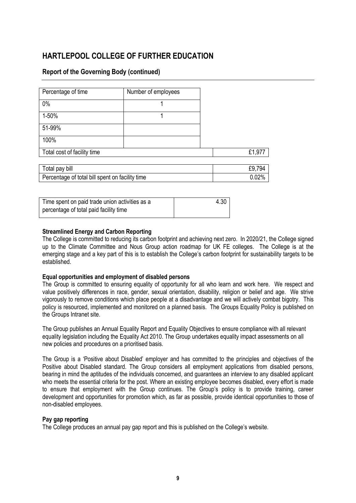## **Report of the Governing Body (continued)**

| Percentage of time                              | Number of employees |        |
|-------------------------------------------------|---------------------|--------|
| 0%                                              |                     |        |
| 1-50%                                           |                     |        |
| 51-99%                                          |                     |        |
| 100%                                            |                     |        |
| Total cost of facility time                     |                     | £1,977 |
|                                                 |                     |        |
| Total pay bill                                  |                     | £9,794 |
| Percentage of total bill spent on facility time |                     | 0.02%  |

| Time spent on paid trade union activities as a | 4.30 |
|------------------------------------------------|------|
| percentage of total paid facility time         |      |

### **Streamlined Energy and Carbon Reporting**

The College is committed to reducing its carbon footprint and achieving next zero. In 2020/21, the College signed up to the Climate Committee and Nous Group action roadmap for UK FE colleges. The College is at the emerging stage and a key part of this is to establish the College's carbon footprint for sustainability targets to be established.

#### **Equal opportunities and employment of disabled persons**

The Group is committed to ensuring equality of opportunity for all who learn and work here. We respect and value positively differences in race, gender, sexual orientation, disability, religion or belief and age. We strive vigorously to remove conditions which place people at a disadvantage and we will actively combat bigotry. This policy is resourced, implemented and monitored on a planned basis. The Groups Equality Policy is published on the Groups Intranet site.

The Group publishes an Annual Equality Report and Equality Objectives to ensure compliance with all relevant equality legislation including the Equality Act 2010. The Group undertakes equality impact assessments on all new policies and procedures on a prioritised basis.

The Group is a 'Positive about Disabled' employer and has committed to the principles and objectives of the Positive about Disabled standard. The Group considers all employment applications from disabled persons, bearing in mind the aptitudes of the individuals concerned, and guarantees an interview to any disabled applicant who meets the essential criteria for the post. Where an existing employee becomes disabled, every effort is made to ensure that employment with the Group continues. The Group's policy is to provide training, career development and opportunities for promotion which, as far as possible, provide identical opportunities to those of non-disabled employees.

#### **Pay gap reporting**

The College produces an annual pay gap report and this is published on the College's website.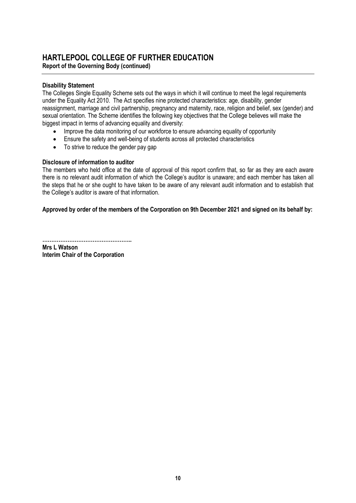## **HARTLEPOOL COLLEGE OF FURTHER EDUCATION Report of the Governing Body (continued)**

### **Disability Statement**

The Colleges Single Equality Scheme sets out the ways in which it will continue to meet the legal requirements under the Equality Act 2010. The Act specifies nine protected characteristics: age, disability, gender reassignment, marriage and civil partnership, pregnancy and maternity, race, religion and belief, sex (gender) and sexual orientation. The Scheme identifies the following key objectives that the College believes will make the biggest impact in terms of advancing equality and diversity:

- Improve the data monitoring of our workforce to ensure advancing equality of opportunity
- Ensure the safety and well-being of students across all protected characteristics
- To strive to reduce the gender pay gap

#### **Disclosure of information to auditor**

The members who held office at the date of approval of this report confirm that, so far as they are each aware there is no relevant audit information of which the College's auditor is unaware; and each member has taken all the steps that he or she ought to have taken to be aware of any relevant audit information and to establish that the College's auditor is aware of that information.

#### **Approved by order of the members of the Corporation on 9th December 2021 and signed on its behalf by:**

**………………………………………….. Mrs L Watson Interim Chair of the Corporation**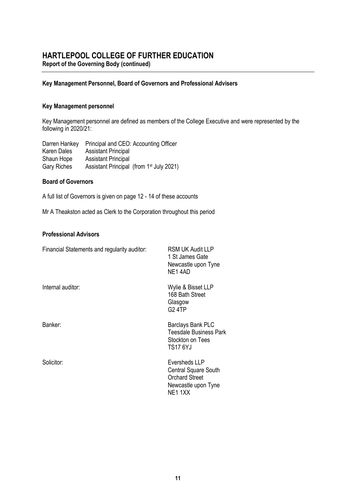**Report of the Governing Body (continued)**

#### **Key Management Personnel, Board of Governors and Professional Advisers**

#### **Key Management personnel**

Key Management personnel are defined as members of the College Executive and were represented by the following in 2020/21:

Darren Hankey Principal and CEO: Accounting Officer Karen Dales Assistant Principal Shaun Hope Assistant Principal Gary Riches Assistant Principal (from 1<sup>st</sup> July 2021)

#### **Board of Governors**

A full list of Governors is given on page 12 - 14 of these accounts

Mr A Theakston acted as Clerk to the Corporation throughout this period

### **Professional Advisors**

| Financial Statements and regularity auditor: | <b>RSM UK Audit LLP</b><br>1 St James Gate<br>Newcastle upon Tyne<br>NE14AD                             |
|----------------------------------------------|---------------------------------------------------------------------------------------------------------|
| Internal auditor:                            | Wylie & Bisset LLP<br>168 Bath Street<br>Glasgow<br><b>G24TP</b>                                        |
| Banker:                                      | Barclays Bank PLC<br>Teesdale Business Park<br>Stockton on Tees<br><b>TS17 6YJ</b>                      |
| Solicitor:                                   | Eversheds LLP<br><b>Central Square South</b><br><b>Orchard Street</b><br>Newcastle upon Tyne<br>NE1 1XX |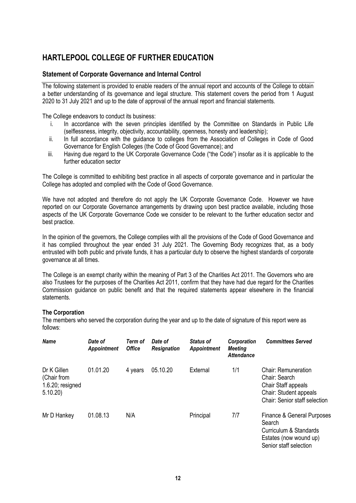### **Statement of Corporate Governance and Internal Control**

The following statement is provided to enable readers of the annual report and accounts of the College to obtain a better understanding of its governance and legal structure. This statement covers the period from 1 August 2020 to 31 July 2021 and up to the date of approval of the annual report and financial statements.

The College endeavors to conduct its business:

- i. In accordance with the seven principles identified by the Committee on Standards in Public Life (selflessness, integrity, objectivity, accountability, openness, honesty and leadership);
- ii. In full accordance with the guidance to colleges from the Association of Colleges in Code of Good Governance for English Colleges (the Code of Good Governance); and
- iii. Having due regard to the UK Corporate Governance Code ("the Code") insofar as it is applicable to the further education sector

The College is committed to exhibiting best practice in all aspects of corporate governance and in particular the College has adopted and complied with the Code of Good Governance.

We have not adopted and therefore do not apply the UK Corporate Governance Code. However we have reported on our Corporate Governance arrangements by drawing upon best practice available, including those aspects of the UK Corporate Governance Code we consider to be relevant to the further education sector and best practice.

In the opinion of the governors, the College complies with all the provisions of the Code of Good Governance and it has complied throughout the year ended 31 July 2021. The Governing Body recognizes that, as a body entrusted with both public and private funds, it has a particular duty to observe the highest standards of corporate governance at all times.

The College is an exempt charity within the meaning of Part 3 of the Charities Act 2011. The Governors who are also Trustees for the purposes of the Charities Act 2011, confirm that they have had due regard for the Charities Commission guidance on public benefit and that the required statements appear elsewhere in the financial statements.

### **The Corporation**

The members who served the corporation during the year and up to the date of signature of this report were as follows:

| <b>Name</b>                                                  | Date of<br>Appointment | Term of<br><b>Office</b> | Date of<br><b>Resignation</b> | <b>Status of</b><br>Appointment | Corporation<br><b>Meeting</b><br><b>Attendance</b> | <b>Committees Served</b>                                                                                                      |
|--------------------------------------------------------------|------------------------|--------------------------|-------------------------------|---------------------------------|----------------------------------------------------|-------------------------------------------------------------------------------------------------------------------------------|
| Dr K Gillen<br>(Chair from<br>$1.6.20$ ; resigned<br>5.10.20 | 01.01.20               | 4 years                  | 05.10.20                      | External                        | 1/1                                                | <b>Chair: Remuneration</b><br>Chair: Search<br>Chair Staff appeals<br>Chair: Student appeals<br>Chair: Senior staff selection |
| Mr D Hankey                                                  | 01.08.13               | N/A                      |                               | Principal                       | 7/7                                                | Finance & General Purposes<br>Search<br>Curriculum & Standards<br>Estates (now wound up)<br>Senior staff selection            |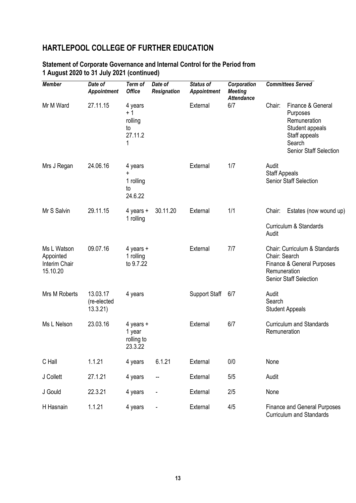| <b>Member</b>                                         | Date of<br><b>Appointment</b>      | Term of<br><b>Office</b>                         | Date of<br><b>Resignation</b> | <b>Status of</b><br><b>Appointment</b> | Corporation<br><b>Meeting</b><br><b>Attendance</b> |                               | <b>Committees Served</b>                                                                                                     |
|-------------------------------------------------------|------------------------------------|--------------------------------------------------|-------------------------------|----------------------------------------|----------------------------------------------------|-------------------------------|------------------------------------------------------------------------------------------------------------------------------|
| Mr M Ward                                             | 27.11.15                           | 4 years<br>$+1$<br>rolling<br>to<br>27.11.2<br>1 |                               | External                               | 6/7                                                | Chair:                        | Finance & General<br>Purposes<br>Remuneration<br>Student appeals<br>Staff appeals<br>Search<br><b>Senior Staff Selection</b> |
| Mrs J Regan                                           | 24.06.16                           | 4 years<br>+<br>1 rolling<br>to<br>24.6.22       |                               | External                               | 1/7                                                | Audit<br><b>Staff Appeals</b> | <b>Senior Staff Selection</b>                                                                                                |
| Mr S Salvin                                           | 29.11.15                           | 4 years $+$<br>1 rolling                         | 30.11.20                      | External                               | 1/1                                                | Chair:                        | Estates (now wound up)                                                                                                       |
|                                                       |                                    |                                                  |                               |                                        |                                                    | Audit                         | Curriculum & Standards                                                                                                       |
| Ms L Watson<br>Appointed<br>Interim Chair<br>15.10.20 | 09.07.16                           | 4 years $+$<br>1 rolling<br>to 9.7.22            |                               | External                               | 7/7                                                | Chair: Search<br>Remuneration | Chair: Curriculum & Standards<br>Finance & General Purposes<br><b>Senior Staff Selection</b>                                 |
| Mrs M Roberts                                         | 13.03.17<br>(re-elected<br>13.3.21 | 4 years                                          |                               | <b>Support Staff</b>                   | 6/7                                                | Audit<br>Search               | <b>Student Appeals</b>                                                                                                       |
| Ms L Nelson                                           | 23.03.16                           | 4 years $+$<br>1 year<br>rolling to<br>23.3.22   |                               | External                               | 6/7                                                | Remuneration                  | <b>Curriculum and Standards</b>                                                                                              |
| C Hall                                                | 1.1.21                             | 4 years                                          | 6.1.21                        | External                               | 0/0                                                | None                          |                                                                                                                              |
| J Collett                                             | 27.1.21                            | 4 years                                          |                               | External                               | 5/5                                                | Audit                         |                                                                                                                              |
| J Gould                                               | 22.3.21                            | 4 years                                          |                               | External                               | 2/5                                                | None                          |                                                                                                                              |
| H Hasnain                                             | 1.1.21                             | 4 years                                          |                               | External                               | 4/5                                                |                               | <b>Finance and General Purposes</b><br>Curriculum and Standards                                                              |

## **Statement of Corporate Governance and Internal Control for the Period from 1 August 2020 to 31 July 2021 (continued)**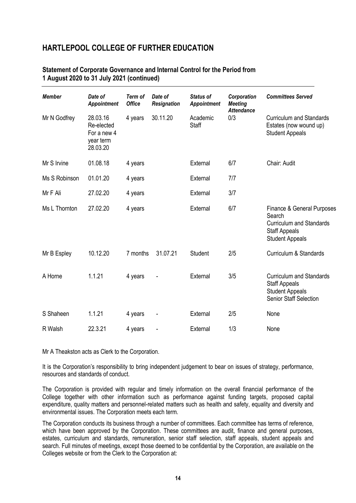### **Statement of Corporate Governance and Internal Control for the Period from 1 August 2020 to 31 July 2021 (continued)**

| <b>Member</b> | Date of<br><b>Appointment</b>                                  | Term of<br><b>Office</b> | Date of<br><b>Resignation</b> | <b>Status of</b><br><b>Appointment</b> | Corporation<br><b>Meeting</b><br><b>Attendance</b> | <b>Committees Served</b>                                                                                                  |
|---------------|----------------------------------------------------------------|--------------------------|-------------------------------|----------------------------------------|----------------------------------------------------|---------------------------------------------------------------------------------------------------------------------------|
| Mr N Godfrey  | 28.03.16<br>Re-elected<br>For a new 4<br>year term<br>28.03.20 | 4 years                  | 30.11.20                      | Academic<br>Staff                      | 0/3                                                | <b>Curriculum and Standards</b><br>Estates (now wound up)<br><b>Student Appeals</b>                                       |
| Mr S Irvine   | 01.08.18                                                       | 4 years                  |                               | External                               | 6/7                                                | Chair: Audit                                                                                                              |
| Ms S Robinson | 01.01.20                                                       | 4 years                  |                               | External                               | 7/7                                                |                                                                                                                           |
| Mr F Ali      | 27.02.20                                                       | 4 years                  |                               | External                               | 3/7                                                |                                                                                                                           |
| Ms L Thornton | 27.02.20                                                       | 4 years                  |                               | External                               | 6/7                                                | Finance & General Purposes<br>Search<br><b>Curriculum and Standards</b><br><b>Staff Appeals</b><br><b>Student Appeals</b> |
| Mr B Espley   | 10.12.20                                                       | 7 months                 | 31.07.21                      | Student                                | 2/5                                                | Curriculum & Standards                                                                                                    |
| A Horne       | 1.1.21                                                         | 4 years                  |                               | External                               | 3/5                                                | <b>Curriculum and Standards</b><br><b>Staff Appeals</b><br><b>Student Appeals</b><br><b>Senior Staff Selection</b>        |
| S Shaheen     | 1.1.21                                                         | 4 years                  |                               | External                               | 2/5                                                | None                                                                                                                      |
| R Walsh       | 22.3.21                                                        | 4 years                  |                               | External                               | 1/3                                                | None                                                                                                                      |

Mr A Theakston acts as Clerk to the Corporation.

It is the Corporation's responsibility to bring independent judgement to bear on issues of strategy, performance, resources and standards of conduct.

The Corporation is provided with regular and timely information on the overall financial performance of the College together with other information such as performance against funding targets, proposed capital expenditure, quality matters and personnel-related matters such as health and safety, equality and diversity and environmental issues. The Corporation meets each term.

The Corporation conducts its business through a number of committees. Each committee has terms of reference, which have been approved by the Corporation. These committees are audit, finance and general purposes, estates, curriculum and standards, remuneration, senior staff selection, staff appeals, student appeals and search. Full minutes of meetings, except those deemed to be confidential by the Corporation, are available on the Colleges website or from the Clerk to the Corporation at: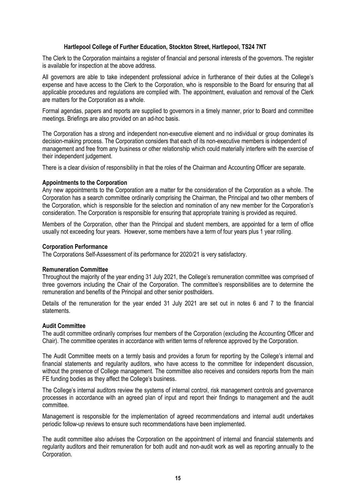#### **Hartlepool College of Further Education, Stockton Street, Hartlepool, TS24 7NT**

The Clerk to the Corporation maintains a register of financial and personal interests of the governors. The register is available for inspection at the above address.

All governors are able to take independent professional advice in furtherance of their duties at the College's expense and have access to the Clerk to the Corporation, who is responsible to the Board for ensuring that all applicable procedures and regulations are complied with. The appointment, evaluation and removal of the Clerk are matters for the Corporation as a whole.

Formal agendas, papers and reports are supplied to governors in a timely manner, prior to Board and committee meetings. Briefings are also provided on an ad-hoc basis.

The Corporation has a strong and independent non-executive element and no individual or group dominates its decision-making process. The Corporation considers that each of its non-executive members is independent of management and free from any business or other relationship which could materially interfere with the exercise of their independent judgement.

There is a clear division of responsibility in that the roles of the Chairman and Accounting Officer are separate.

#### **Appointments to the Corporation**

Any new appointments to the Corporation are a matter for the consideration of the Corporation as a whole. The Corporation has a search committee ordinarily comprising the Chairman, the Principal and two other members of the Corporation, which is responsible for the selection and nomination of any new member for the Corporation's consideration. The Corporation is responsible for ensuring that appropriate training is provided as required.

Members of the Corporation, other than the Principal and student members, are appointed for a term of office usually not exceeding four years. However, some members have a term of four years plus 1 year rolling.

#### **Corporation Performance**

The Corporations Self-Assessment of its performance for 2020/21 is very satisfactory.

#### **Remuneration Committee**

Throughout the majority of the year ending 31 July 2021, the College's remuneration committee was comprised of three governors including the Chair of the Corporation. The committee's responsibilities are to determine the remuneration and benefits of the Principal and other senior postholders.

Details of the remuneration for the year ended 31 July 2021 are set out in notes 6 and 7 to the financial statements.

#### **Audit Committee**

The audit committee ordinarily comprises four members of the Corporation (excluding the Accounting Officer and Chair). The committee operates in accordance with written terms of reference approved by the Corporation.

The Audit Committee meets on a termly basis and provides a forum for reporting by the College's internal and financial statements and regularity auditors, who have access to the committee for independent discussion, without the presence of College management. The committee also receives and considers reports from the main FE funding bodies as they affect the College's business.

The College's internal auditors review the systems of internal control, risk management controls and governance processes in accordance with an agreed plan of input and report their findings to management and the audit committee.

Management is responsible for the implementation of agreed recommendations and internal audit undertakes periodic follow-up reviews to ensure such recommendations have been implemented.

The audit committee also advises the Corporation on the appointment of internal and financial statements and regularity auditors and their remuneration for both audit and non-audit work as well as reporting annually to the Corporation.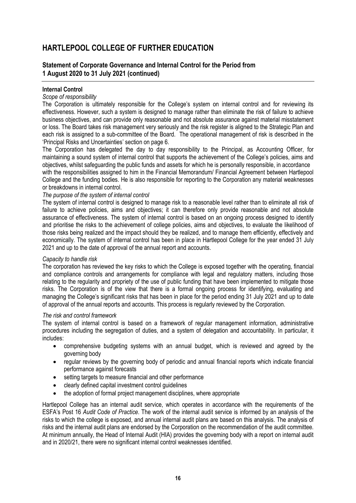### **Statement of Corporate Governance and Internal Control for the Period from 1 August 2020 to 31 July 2021 (continued)**

#### **Internal Control**

#### *Scope of responsibility*

The Corporation is ultimately responsible for the College's system on internal control and for reviewing its effectiveness. However, such a system is designed to manage rather than eliminate the risk of failure to achieve business objectives, and can provide only reasonable and not absolute assurance against material misstatement or loss. The Board takes risk management very seriously and the risk register is aligned to the Strategic Plan and each risk is assigned to a sub-committee of the Board. The operational management of risk is described in the 'Principal Risks and Uncertainties' section on page 6.

The Corporation has delegated the day to day responsibility to the Principal, as Accounting Officer, for maintaining a sound system of internal control that supports the achievement of the College's policies, aims and objectives, whilst safeguarding the public funds and assets for which he is personally responsible, in accordance with the responsibilities assigned to him in the Financial Memorandum/ Financial Agreement between Hartlepool College and the funding bodies. He is also responsible for reporting to the Corporation any material weaknesses or breakdowns in internal control.

#### *The purpose of the system of internal control*

The system of internal control is designed to manage risk to a reasonable level rather than to eliminate all risk of failure to achieve policies, aims and objectives; it can therefore only provide reasonable and not absolute assurance of effectiveness. The system of internal control is based on an ongoing process designed to identify and prioritise the risks to the achievement of college policies, aims and objectives, to evaluate the likelihood of those risks being realized and the impact should they be realized, and to manage them efficiently, effectively and economically. The system of internal control has been in place in Hartlepool College for the year ended 31 July 2021 and up to the date of approval of the annual report and accounts.

### *Capacity to handle risk*

The corporation has reviewed the key risks to which the College is exposed together with the operating, financial and compliance controls and arrangements for compliance with legal and regulatory matters, including those relating to the regularity and propriety of the use of public funding that have been implemented to mitigate those risks. The Corporation is of the view that there is a formal ongoing process for identifying, evaluating and managing the College's significant risks that has been in place for the period ending 31 July 2021 and up to date of approval of the annual reports and accounts. This process is regularly reviewed by the Corporation.

#### *The risk and control framework*

The system of internal control is based on a framework of regular management information, administrative procedures including the segregation of duties, and a system of delegation and accountability. In particular, it includes:

- comprehensive budgeting systems with an annual budget, which is reviewed and agreed by the governing body
- regular reviews by the governing body of periodic and annual financial reports which indicate financial performance against forecasts
- setting targets to measure financial and other performance
- clearly defined capital investment control guidelines
- the adoption of formal project management disciplines, where appropriate

Hartlepool College has an internal audit service, which operates in accordance with the requirements of the ESFA's Post 16 *Audit Code of Practice*. The work of the internal audit service is informed by an analysis of the risks to which the college is exposed, and annual internal audit plans are based on this analysis. The analysis of risks and the internal audit plans are endorsed by the Corporation on the recommendation of the audit committee. At minimum annually, the Head of Internal Audit (HIA) provides the governing body with a report on internal audit and in 2020/21, there were no significant internal control weaknesses identified.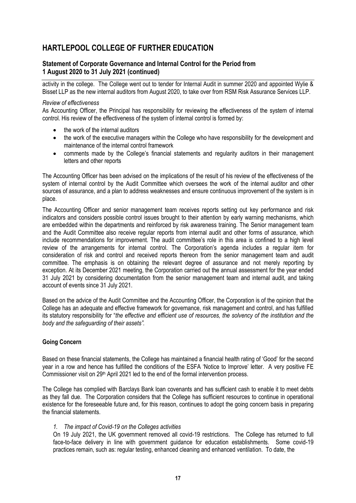### **Statement of Corporate Governance and Internal Control for the Period from 1 August 2020 to 31 July 2021 (continued)**

activity in the college. The College went out to tender for Internal Audit in summer 2020 and appointed Wylie & Bisset LLP as the new internal auditors from August 2020, to take over from RSM Risk Assurance Services LLP.

#### *Review of effectiveness*

As Accounting Officer, the Principal has responsibility for reviewing the effectiveness of the system of internal control. His review of the effectiveness of the system of internal control is formed by:

- the work of the internal auditors
- the work of the executive managers within the College who have responsibility for the development and maintenance of the internal control framework
- comments made by the College's financial statements and regularity auditors in their management letters and other reports

The Accounting Officer has been advised on the implications of the result of his review of the effectiveness of the system of internal control by the Audit Committee which oversees the work of the internal auditor and other sources of assurance, and a plan to address weaknesses and ensure continuous improvement of the system is in place.

The Accounting Officer and senior management team receives reports setting out key performance and risk indicators and considers possible control issues brought to their attention by early warning mechanisms, which are embedded within the departments and reinforced by risk awareness training. The Senior management team and the Audit Committee also receive regular reports from internal audit and other forms of assurance, which include recommendations for improvement. The audit committee's role in this area is confined to a high level review of the arrangements for internal control. The Corporation's agenda includes a regular item for consideration of risk and control and received reports thereon from the senior management team and audit committee. The emphasis is on obtaining the relevant degree of assurance and not merely reporting by exception. At its December 2021 meeting, the Corporation carried out the annual assessment for the year ended 31 July 2021 by considering documentation from the senior management team and internal audit, and taking account of events since 31 July 2021.

Based on the advice of the Audit Committee and the Accounting Officer, the Corporation is of the opinion that the College has an adequate and effective framework for governance, risk management and control, and has fulfilled its statutory responsibility for "*the effective and efficient use of resources, the solvency of the institution and the body and the safeguarding of their assets".*

### **Going Concern**

Based on these financial statements, the College has maintained a financial health rating of 'Good' for the second year in a row and hence has fulfilled the conditions of the ESFA 'Notice to Improve' letter. A very positive FE Commissioner visit on 29<sup>th</sup> April 2021 led to the end of the formal intervention process.

The College has complied with Barclays Bank loan covenants and has sufficient cash to enable it to meet debts as they fall due. The Corporation considers that the College has sufficient resources to continue in operational existence for the foreseeable future and, for this reason, continues to adopt the going concern basis in preparing the financial statements.

### *1. The impact of Covid-19 on the Colleges activities*

On 19 July 2021, the UK government removed all covid-19 restrictions. The College has returned to full face-to-face delivery in line with government guidance for education establishments. Some covid-19 practices remain, such as: regular testing, enhanced cleaning and enhanced ventilation. To date, the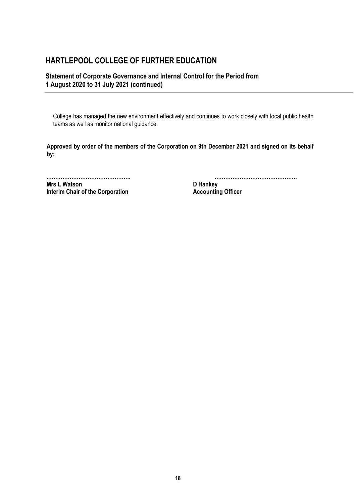### **Statement of Corporate Governance and Internal Control for the Period from 1 August 2020 to 31 July 2021 (continued)**

College has managed the new environment effectively and continues to work closely with local public health teams as well as monitor national guidance.

**Approved by order of the members of the Corporation on 9th December 2021 and signed on its behalf by:**

**Mrs L Watson D Hankey Interim Chair of the Corporation Accounting Officer** 

**.………………………………………. ……………………………………….**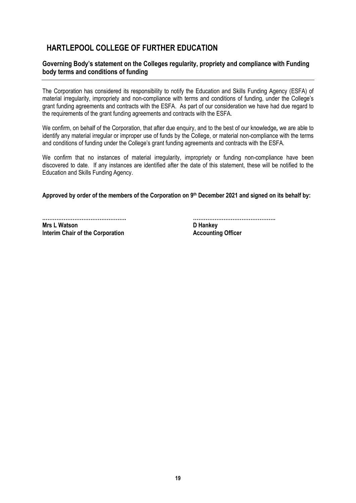### **Governing Body's statement on the Colleges regularity, propriety and compliance with Funding body terms and conditions of funding**

The Corporation has considered its responsibility to notify the Education and Skills Funding Agency (ESFA) of material irregularity, impropriety and non-compliance with terms and conditions of funding, under the College's grant funding agreements and contracts with the ESFA. As part of our consideration we have had due regard to the requirements of the grant funding agreements and contracts with the ESFA.

We confirm, on behalf of the Corporation, that after due enquiry, and to the best of our knowledge*,* we are able to identify any material irregular or improper use of funds by the College, or material non-compliance with the terms and conditions of funding under the College's grant funding agreements and contracts with the ESFA.

We confirm that no instances of material irregularity, impropriety or funding non-compliance have been discovered to date. If any instances are identified after the date of this statement, these will be notified to the Education and Skills Funding Agency.

**Approved by order of the members of the Corporation on 9 th December 2021 and signed on its behalf by:**

**Mrs L Watson**<br> **Interim Chair of the Corporation**<br> **Accounting Officer Interim Chair of the Corporation** 

**.………………………………………. ……………………………………….**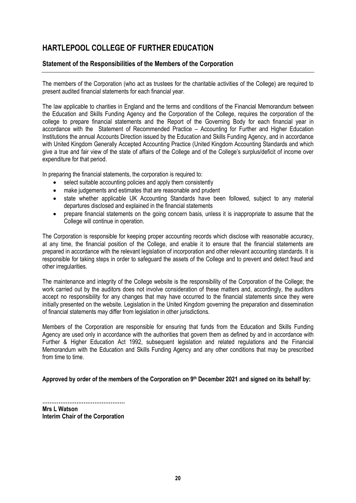### **Statement of the Responsibilities of the Members of the Corporation**

The members of the Corporation (who act as trustees for the charitable activities of the College) are required to present audited financial statements for each financial year.

The law applicable to charities in England and the terms and conditions of the Financial Memorandum between the Education and Skills Funding Agency and the Corporation of the College, requires the corporation of the college to prepare financial statements and the Report of the Governing Body for each financial year in accordance with the Statement of Recommended Practice – Accounting for Further and Higher Education Institutions the annual Accounts Direction issued by the Education and Skills Funding Agency, and in accordance with United Kingdom Generally Accepted Accounting Practice (United Kingdom Accounting Standards and which give a true and fair view of the state of affairs of the College and of the College's surplus/deficit of income over expenditure for that period.

In preparing the financial statements, the corporation is required to:

- select suitable accounting policies and apply them consistently
- make judgements and estimates that are reasonable and prudent
- state whether applicable UK Accounting Standards have been followed, subject to any material departures disclosed and explained in the financial statements
- prepare financial statements on the going concern basis, unless it is inappropriate to assume that the College will continue in operation.

The Corporation is responsible for keeping proper accounting records which disclose with reasonable accuracy, at any time, the financial position of the College, and enable it to ensure that the financial statements are prepared in accordance with the relevant legislation of incorporation and other relevant accounting standards. It is responsible for taking steps in order to safeguard the assets of the College and to prevent and detect fraud and other irregularities.

The maintenance and integrity of the College website is the responsibility of the Corporation of the College; the work carried out by the auditors does not involve consideration of these matters and, accordingly, the auditors accept no responsibility for any changes that may have occurred to the financial statements since they were initially presented on the website. Legislation in the United Kingdom governing the preparation and dissemination of financial statements may differ from legislation in other jurisdictions.

Members of the Corporation are responsible for ensuring that funds from the Education and Skills Funding Agency are used only in accordance with the authorities that govern them as defined by and in accordance with Further & Higher Education Act 1992, subsequent legislation and related regulations and the Financial Memorandum with the Education and Skills Funding Agency and any other conditions that may be prescribed from time to time.

**Approved by order of the members of the Corporation on 9 th December 2021 and signed on its behalf by:**

**………………………………………. Mrs L Watson Interim Chair of the Corporation**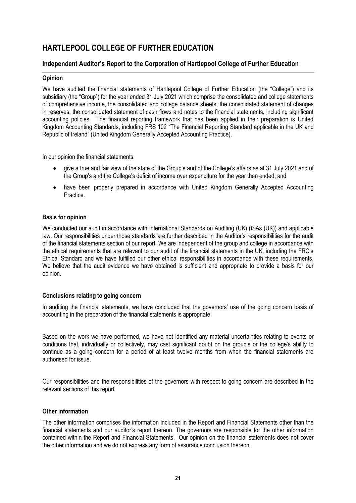### **Independent Auditor's Report to the Corporation of Hartlepool College of Further Education**

#### **Opinion**

We have audited the financial statements of Hartlepool College of Further Education (the "College") and its subsidiary (the "Group") for the year ended 31 July 2021 which comprise the consolidated and college statements of comprehensive income, the consolidated and college balance sheets, the consolidated statement of changes in reserves, the consolidated statement of cash flows and notes to the financial statements, including significant accounting policies. The financial reporting framework that has been applied in their preparation is United Kingdom Accounting Standards, including FRS 102 "The Financial Reporting Standard applicable in the UK and Republic of Ireland" (United Kingdom Generally Accepted Accounting Practice).

In our opinion the financial statements:

- give a true and fair view of the state of the Group's and of the College's affairs as at 31 July 2021 and of the Group's and the College's deficit of income over expenditure for the year then ended; and
- have been properly prepared in accordance with United Kingdom Generally Accepted Accounting **Practice**

#### **Basis for opinion**

We conducted our audit in accordance with International Standards on Auditing (UK) (ISAs (UK)) and applicable law. Our responsibilities under those standards are further described in the Auditor's responsibilities for the audit of the financial statements section of our report. We are independent of the group and college in accordance with the ethical requirements that are relevant to our audit of the financial statements in the UK, including the FRC's Ethical Standard and we have fulfilled our other ethical responsibilities in accordance with these requirements. We believe that the audit evidence we have obtained is sufficient and appropriate to provide a basis for our opinion.

#### **Conclusions relating to going concern**

In auditing the financial statements, we have concluded that the governors' use of the going concern basis of accounting in the preparation of the financial statements is appropriate.

Based on the work we have performed, we have not identified any material uncertainties relating to events or conditions that, individually or collectively, may cast significant doubt on the group's or the college's ability to continue as a going concern for a period of at least twelve months from when the financial statements are authorised for issue.

Our responsibilities and the responsibilities of the governors with respect to going concern are described in the relevant sections of this report.

#### **Other information**

The other information comprises the information included in the Report and Financial Statements other than the financial statements and our auditor's report thereon. The governors are responsible for the other information contained within the Report and Financial Statements. Our opinion on the financial statements does not cover the other information and we do not express any form of assurance conclusion thereon.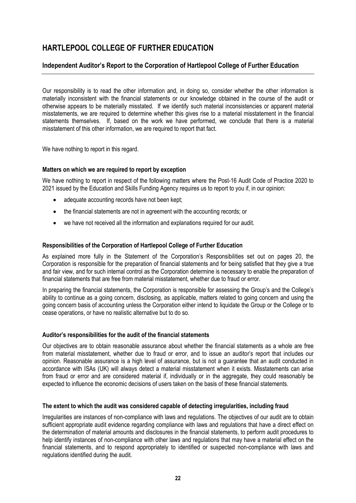## **Independent Auditor's Report to the Corporation of Hartlepool College of Further Education**

Our responsibility is to read the other information and, in doing so, consider whether the other information is materially inconsistent with the financial statements or our knowledge obtained in the course of the audit or otherwise appears to be materially misstated. If we identify such material inconsistencies or apparent material misstatements, we are required to determine whether this gives rise to a material misstatement in the financial statements themselves. If, based on the work we have performed, we conclude that there is a material misstatement of this other information, we are required to report that fact.

We have nothing to report in this regard.

#### **Matters on which we are required to report by exception**

We have nothing to report in respect of the following matters where the Post-16 Audit Code of Practice 2020 to 2021 issued by the Education and Skills Funding Agency requires us to report to you if, in our opinion:

- adequate accounting records have not been kept;
- the financial statements are not in agreement with the accounting records; or
- we have not received all the information and explanations required for our audit.

#### **Responsibilities of the Corporation of Hartlepool College of Further Education**

As explained more fully in the Statement of the Corporation's Responsibilities set out on pages 20, the Corporation is responsible for the preparation of financial statements and for being satisfied that they give a true and fair view, and for such internal control as the Corporation determine is necessary to enable the preparation of financial statements that are free from material misstatement, whether due to fraud or error.

In preparing the financial statements, the Corporation is responsible for assessing the Group's and the College's ability to continue as a going concern, disclosing, as applicable, matters related to going concern and using the going concern basis of accounting unless the Corporation either intend to liquidate the Group or the College or to cease operations, or have no realistic alternative but to do so.

#### **Auditor's responsibilities for the audit of the financial statements**

Our objectives are to obtain reasonable assurance about whether the financial statements as a whole are free from material misstatement, whether due to fraud or error, and to issue an auditor's report that includes our opinion. Reasonable assurance is a high level of assurance, but is not a guarantee that an audit conducted in accordance with ISAs (UK) will always detect a material misstatement when it exists. Misstatements can arise from fraud or error and are considered material if, individually or in the aggregate, they could reasonably be expected to influence the economic decisions of users taken on the basis of these financial statements.

#### **The extent to which the audit was considered capable of detecting irregularities, including fraud**

Irregularities are instances of non-compliance with laws and regulations. The objectives of our audit are to obtain sufficient appropriate audit evidence regarding compliance with laws and regulations that have a direct effect on the determination of material amounts and disclosures in the financial statements, to perform audit procedures to help identify instances of non-compliance with other laws and regulations that may have a material effect on the financial statements, and to respond appropriately to identified or suspected non-compliance with laws and regulations identified during the audit.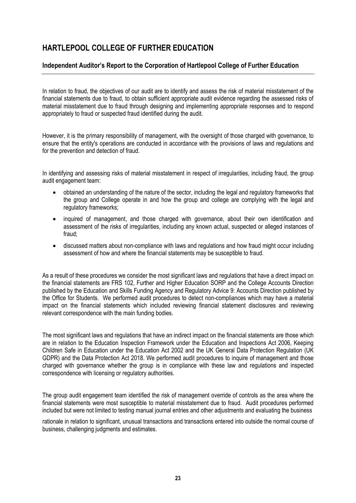## **Independent Auditor's Report to the Corporation of Hartlepool College of Further Education**

In relation to fraud, the objectives of our audit are to identify and assess the risk of material misstatement of the financial statements due to fraud, to obtain sufficient appropriate audit evidence regarding the assessed risks of material misstatement due to fraud through designing and implementing appropriate responses and to respond appropriately to fraud or suspected fraud identified during the audit.

However, it is the primary responsibility of management, with the oversight of those charged with governance, to ensure that the entity's operations are conducted in accordance with the provisions of laws and regulations and for the prevention and detection of fraud.

In identifying and assessing risks of material misstatement in respect of irregularities, including fraud, the group audit engagement team:

- obtained an understanding of the nature of the sector, including the legal and regulatory frameworks that the group and College operate in and how the group and college are complying with the legal and regulatory frameworks;
- inquired of management, and those charged with governance, about their own identification and assessment of the risks of irregularities, including any known actual, suspected or alleged instances of fraud;
- discussed matters about non-compliance with laws and regulations and how fraud might occur including assessment of how and where the financial statements may be susceptible to fraud.

As a result of these procedures we consider the most significant laws and regulations that have a direct impact on the financial statements are FRS 102, Further and Higher Education SORP and the College Accounts Direction published by the Education and Skills Funding Agency and Regulatory Advice 9: Accounts Direction published by the Office for Students. We performed audit procedures to detect non-compliances which may have a material impact on the financial statements which included reviewing financial statement disclosures and reviewing relevant correspondence with the main funding bodies.

The most significant laws and regulations that have an indirect impact on the financial statements are those which are in relation to the Education Inspection Framework under the Education and Inspections Act 2006, Keeping Children Safe in Education under the Education Act 2002 and the UK General Data Protection Regulation (UK GDPR) and the Data Protection Act 2018. We performed audit procedures to inquire of management and those charged with governance whether the group is in compliance with these law and regulations and inspected correspondence with licensing or regulatory authorities.

The group audit engagement team identified the risk of management override of controls as the area where the financial statements were most susceptible to material misstatement due to fraud. Audit procedures performed included but were not limited to testing manual journal entries and other adjustments and evaluating the business

rationale in relation to significant, unusual transactions and transactions entered into outside the normal course of business, challenging judgments and estimates.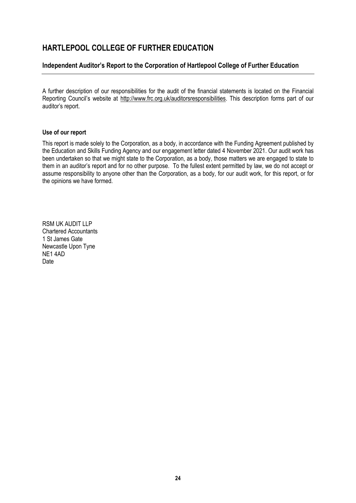## **Independent Auditor's Report to the Corporation of Hartlepool College of Further Education**

A further description of our responsibilities for the audit of the financial statements is located on the Financial Reporting Council's website at [http://www.frc.org.uk/auditorsresponsibilities.](http://www.frc.org.uk/auditorsresponsibilities) This description forms part of our auditor's report.

#### **Use of our report**

This report is made solely to the Corporation, as a body, in accordance with the Funding Agreement published by the Education and Skills Funding Agency and our engagement letter dated 4 November 2021. Our audit work has been undertaken so that we might state to the Corporation, as a body, those matters we are engaged to state to them in an auditor's report and for no other purpose. To the fullest extent permitted by law, we do not accept or assume responsibility to anyone other than the Corporation, as a body, for our audit work, for this report, or for the opinions we have formed.

RSM UK AUDIT LLP Chartered Accountants 1 St James Gate Newcastle Upon Tyne NE1 4AD Date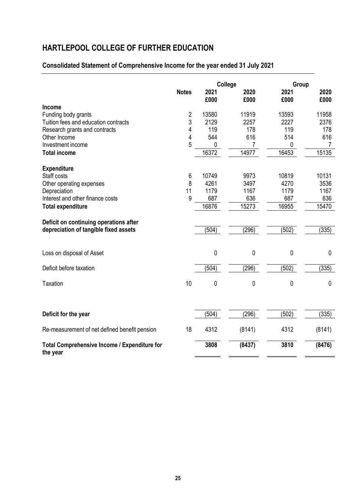## **Consolidated Statement of Comprehensive Income for the year ended 31 July 2021**

|                                                          | College        |             | Group  |             |             |
|----------------------------------------------------------|----------------|-------------|--------|-------------|-------------|
|                                                          | <b>Notes</b>   | 2021        | 2020   | 2021        | 2020        |
|                                                          |                | £000        | £000   | £000        | £000        |
| Income<br>Funding body grants                            | $\overline{2}$ | 13580       | 11919  | 13593       | 11958       |
| Tuition fees and education contracts                     | 3              | 2129        | 2257   | 2227        | 2376        |
| Research grants and contracts                            | 4              | 119         | 178    | 119         | 178         |
| Other Income                                             | 4              | 544         | 616    | 514         | 616         |
| Investment income                                        | 5              | 0           | 7      | 0           | 7           |
| <b>Total income</b>                                      |                | 16372       | 14977  | 16453       | 15135       |
| <b>Expenditure</b>                                       |                |             |        |             |             |
| Staff costs                                              | 6              | 10749       | 9973   | 10819       | 10131       |
| Other operating expenses                                 | 8              | 4261        | 3497   | 4270        | 3536        |
| Depreciation                                             | 11             | 1179        | 1167   | 1179        | 1167        |
| Interest and other finance costs                         | 9              | 687         | 636    | 687         | 636         |
| <b>Total expenditure</b>                                 |                | 16876       | 15273  | 16955       | 15470       |
| Deficit on continuing operations after                   |                |             |        |             |             |
| depreciation of tangible fixed assets                    |                | (504)       | (296)  | (502)       | (335)       |
|                                                          |                |             |        |             |             |
| Loss on disposal of Asset                                |                | $\mathbf 0$ | 0      | 0           | $\mathbf 0$ |
| Deficit before taxation                                  |                | (504)       | (296)  | (502)       | (335)       |
|                                                          |                |             |        |             |             |
| <b>Taxation</b>                                          | 10             | 0           | 0      | $\mathbf 0$ | $\mathbf 0$ |
|                                                          |                |             |        |             |             |
| Deficit for the year                                     |                | (504)       | (296)  | (502)       | (335)       |
|                                                          |                |             |        |             |             |
| Re-measurement of net defined benefit pension            | 18             | 4312        | (8141) | 4312        | (8141)      |
| Total Comprehensive Income / Expenditure for<br>the year |                | 3808        | (8437) | 3810        | (8476)      |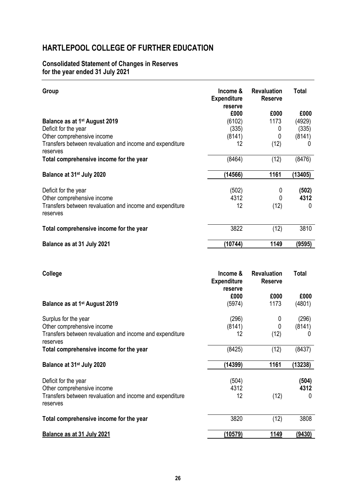### **Consolidated Statement of Changes in Reserves for the year ended 31 July 2021**

| Group                                                                | Income &<br><b>Expenditure</b><br>reserve | <b>Revaluation</b><br><b>Reserve</b> | <b>Total</b> |
|----------------------------------------------------------------------|-------------------------------------------|--------------------------------------|--------------|
|                                                                      | £000                                      | £000                                 | £000         |
| Balance as at 1 <sup>st</sup> August 2019                            | (6102)                                    | 1173                                 | (4929)       |
| Deficit for the year                                                 | (335)                                     | 0                                    | (335)        |
| Other comprehensive income                                           | (8141)                                    | 0                                    | (8141)       |
| Transfers between revaluation and income and expenditure<br>reserves | 12                                        | (12)                                 | U            |
| Total comprehensive income for the year                              | (8464)                                    | (12)                                 | (8476)       |
| Balance at 31 <sup>st</sup> July 2020                                | (14566)                                   | 1161                                 | (13405)      |
| Deficit for the year                                                 | (502)                                     | 0                                    | (502)        |
| Other comprehensive income                                           | 4312                                      |                                      | 4312         |
| Transfers between revaluation and income and expenditure<br>reserves | 12                                        | (12)                                 | 0            |
| Total comprehensive income for the year                              | 3822                                      | (12)                                 | 3810         |
| Balance as at 31 July 2021                                           | (10744)                                   | 1149                                 | (9595)       |

| College                                                              | Income &<br><b>Expenditure</b><br>reserve | <b>Revaluation</b><br><b>Reserve</b> | <b>Total</b>  |
|----------------------------------------------------------------------|-------------------------------------------|--------------------------------------|---------------|
|                                                                      | £000                                      | £000                                 | £000          |
| Balance as at 1 <sup>st</sup> August 2019                            | (5974)                                    | 1173                                 | (4801)        |
| Surplus for the year                                                 | (296)                                     | 0                                    | (296)         |
| Other comprehensive income                                           | (8141)                                    | 0                                    | (8141)        |
| Transfers between revaluation and income and expenditure<br>reserves | 12                                        | (12)                                 | 0             |
| Total comprehensive income for the year                              | (8425)                                    | (12)                                 | (8437)        |
| Balance at 31 <sup>st</sup> July 2020                                | (14399)                                   | 1161                                 | (13238)       |
| Deficit for the year                                                 | (504)                                     |                                      | (504)         |
| Other comprehensive income                                           | 4312                                      |                                      | 4312          |
| Transfers between revaluation and income and expenditure<br>reserves | 12                                        | (12)                                 | 0             |
| Total comprehensive income for the year                              | 3820                                      | (12)                                 | 3808          |
| Balance as at 31 July 2021                                           | (10579)                                   | 1149                                 | <u>(9430)</u> |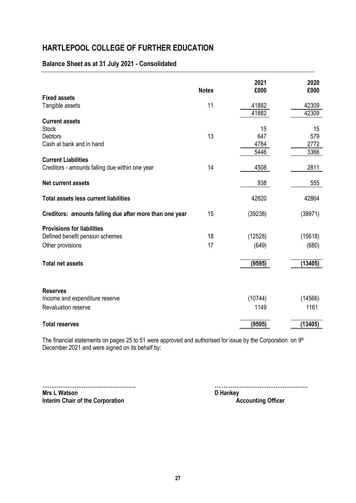## **Balance Sheet as at 31 July 2021 - Consolidated**

|                                                         | <b>Notes</b> | 2021<br>£000 | 2020<br>£000 |
|---------------------------------------------------------|--------------|--------------|--------------|
| <b>Fixed assets</b>                                     |              |              |              |
| Tangible assets                                         | 11           | 41882        | 42309        |
|                                                         |              | 41882        | 42309        |
| <b>Current assets</b>                                   |              |              |              |
| <b>Stock</b>                                            |              | 15           | 15           |
| <b>Debtors</b><br>Cash at bank and in hand              | 13           | 647<br>4784  | 579<br>2772  |
|                                                         |              | 5446         | 3366         |
| <b>Current Liabilities</b>                              |              |              |              |
| Creditors - amounts falling due within one year         | 14           | 4508         | 2811         |
|                                                         |              |              |              |
| <b>Net current assets</b>                               |              | 938          | 555          |
| <b>Total assets less current liabilities</b>            |              | 42820        | 42864        |
| Creditors: amounts falling due after more than one year | 15           | (39238)      | (39971)      |
| <b>Provisions for liabilities</b>                       |              |              |              |
| Defined benefit pension schemes                         | 18           | (12528)      | (15618)      |
| Other provisions                                        | 17           | (649)        | (680)        |
|                                                         |              |              |              |
| <b>Total net assets</b>                                 |              | (9595)       | (13405)      |
|                                                         |              |              |              |
| <b>Reserves</b>                                         |              |              |              |
| Income and expenditure reserve                          |              | (10744)      | (14566)      |
| <b>Revaluation reserve</b>                              |              | 1149         | 1161         |
| <b>Total reserves</b>                                   |              | (9595)       | (13405)      |

The financial statements on pages 25 to 51 were approved and authorised for issue by the Corporation on 9<sup>th</sup> December 2021 and were signed on its behalf by:

**Mrs L Watson**<br> **Interim Chair of the Corporation**<br> **D Hankey**<br> **D Hankey**<br> **D Hankey Interim Chair of the Corporation** 

**……………………………………………. …………………………………………….**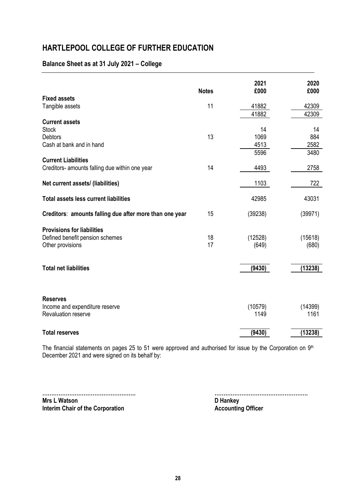## **Balance Sheet as at 31 July 2021 – College**

|                                                         | <b>Notes</b> | 2021<br>£000 | 2020<br>£000 |
|---------------------------------------------------------|--------------|--------------|--------------|
| <b>Fixed assets</b>                                     |              |              |              |
| Tangible assets                                         | 11           | 41882        | 42309        |
|                                                         |              | 41882        | 42309        |
| <b>Current assets</b>                                   |              |              |              |
| <b>Stock</b>                                            |              | 14           | 14           |
| <b>Debtors</b>                                          | 13           | 1069         | 884          |
| Cash at bank and in hand                                |              | 4513         | 2582         |
|                                                         |              | 5596         | 3480         |
| <b>Current Liabilities</b>                              |              |              |              |
| Creditors- amounts falling due within one year          | 14           | 4493         | 2758         |
|                                                         |              |              |              |
| Net current assets/ (liabilities)                       |              | 1103         | 722          |
| <b>Total assets less current liabilities</b>            |              | 42985        | 43031        |
| Creditors: amounts falling due after more than one year | 15           | (39238)      | (39971)      |
| <b>Provisions for liabilities</b>                       |              |              |              |
| Defined benefit pension schemes                         | 18           | (12528)      | (15618)      |
| Other provisions                                        | 17           | (649)        | (680)        |
|                                                         |              |              |              |
| <b>Total net liabilities</b>                            |              | (9430)       | (13238)      |
|                                                         |              |              |              |
|                                                         |              |              |              |
| <b>Reserves</b>                                         |              |              |              |
| Income and expenditure reserve                          |              | (10579)      | (14399)      |
| Revaluation reserve                                     |              | 1149         | 1161         |
| <b>Total reserves</b>                                   |              | (9430)       | (13238)      |

The financial statements on pages 25 to 51 were approved and authorised for issue by the Corporation on  $9<sup>th</sup>$ December 2021 and were signed on its behalf by:

**Mrs L Watson**<br> **Mrs L Watson**<br> **Interim Chair of the Corporation**<br> **Accounting Officer Interim Chair of the Corporation** 

**……………………………………………. …………………………………………….**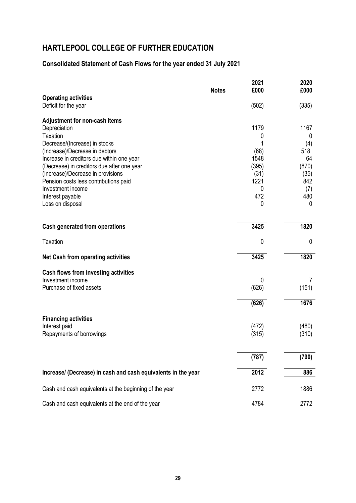## **Consolidated Statement of Cash Flows for the year ended 31 July 2021**

|                                                                             | <b>Notes</b> | 2021<br>£000 | 2020<br>£000 |
|-----------------------------------------------------------------------------|--------------|--------------|--------------|
| <b>Operating activities</b><br>Deficit for the year                         |              | (502)        | (335)        |
| Adjustment for non-cash items                                               |              |              |              |
| Depreciation                                                                |              | 1179         | 1167         |
| <b>Taxation</b>                                                             |              | 0            | 0            |
| Decrease/(Increase) in stocks                                               |              | 1<br>(68)    | (4)<br>518   |
| (Increase)/Decrease in debtors<br>Increase in creditors due within one year |              | 1548         | 64           |
| (Decrease) in creditors due after one year                                  |              | (395)        | (870)        |
| (Increase)/Decrease in provisions                                           |              | (31)         | (35)         |
| Pension costs less contributions paid                                       |              | 1221         | 842          |
| Investment income                                                           |              | 0            | (7)          |
| Interest payable                                                            |              | 472          | 480          |
| Loss on disposal                                                            |              | 0            | 0            |
|                                                                             |              |              |              |
| Cash generated from operations                                              |              | 3425         | 1820         |
| <b>Taxation</b>                                                             |              | 0            | 0            |
| <b>Net Cash from operating activities</b>                                   |              | 3425         | 1820         |
| <b>Cash flows from investing activities</b>                                 |              |              |              |
| Investment income                                                           |              | 0            | 7            |
| Purchase of fixed assets                                                    |              | (626)        | (151)        |
|                                                                             |              | (626)        | 1676         |
| <b>Financing activities</b>                                                 |              |              |              |
| Interest paid                                                               |              | (472)        | (480)        |
| Repayments of borrowings                                                    |              | (315)        | (310)        |
|                                                                             |              |              |              |
|                                                                             |              | (787)        | (790)        |
| Increase/ (Decrease) in cash and cash equivalents in the year               |              | 2012         | 886          |
| Cash and cash equivalents at the beginning of the year                      |              | 2772         | 1886         |
| Cash and cash equivalents at the end of the year                            |              | 4784         | 2772         |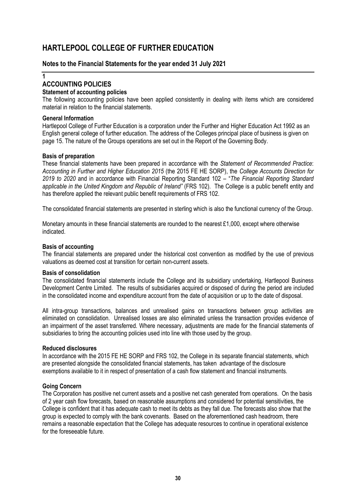#### **Notes to the Financial Statements for the year ended 31 July 2021**

**1**

### **ACCOUNTING POLICIES**

#### **Statement of accounting policies**

The following accounting policies have been applied consistently in dealing with items which are considered material in relation to the financial statements.

#### **General Information**

Hartlepool College of Further Education is a corporation under the Further and Higher Education Act 1992 as an English general college of further education. The address of the Colleges principal place of business is given on page 15. The nature of the Groups operations are set out in the Report of the Governing Body.

#### **Basis of preparation**

These financial statements have been prepared in accordance with the *Statement of Recommended Practice*: *Accounting in Further and Higher Education 2015* (the 2015 FE HE SORP), the *College Accounts Direction for 2019 to 2020* and in accordance with Financial Reporting Standard 102 – "*The Financial Reporting Standard applicable in the United Kingdom and Republic of Ireland"* (FRS 102). The College is a public benefit entity and has therefore applied the relevant public benefit requirements of FRS 102.

The consolidated financial statements are presented in sterling which is also the functional currency of the Group.

Monetary amounts in these financial statements are rounded to the nearest £1,000, except where otherwise indicated.

#### **Basis of accounting**

The financial statements are prepared under the historical cost convention as modified by the use of previous valuations as deemed cost at transition for certain non-current assets.

#### **Basis of consolidation**

The consolidated financial statements include the College and its subsidiary undertaking, Hartlepool Business Development Centre Limited. The results of subsidiaries acquired or disposed of during the period are included in the consolidated income and expenditure account from the date of acquisition or up to the date of disposal.

All intra-group transactions, balances and unrealised gains on transactions between group activities are eliminated on consolidation. Unrealised losses are also eliminated unless the transaction provides evidence of an impairment of the asset transferred. Where necessary, adjustments are made for the financial statements of subsidiaries to bring the accounting policies used into line with those used by the group.

#### **Reduced disclosures**

In accordance with the 2015 FE HE SORP and FRS 102, the College in its separate financial statements, which are presented alongside the consolidated financial statements, has taken advantage of the disclosure exemptions available to it in respect of presentation of a cash flow statement and financial instruments.

#### **Going Concern**

The Corporation has positive net current assets and a positive net cash generated from operations. On the basis of 2 year cash flow forecasts, based on reasonable assumptions and considered for potential sensitivities, the College is confident that it has adequate cash to meet its debts as they fall due. The forecasts also show that the group is expected to comply with the bank covenants. Based on the aforementioned cash headroom, there remains a reasonable expectation that the College has adequate resources to continue in operational existence for the foreseeable future.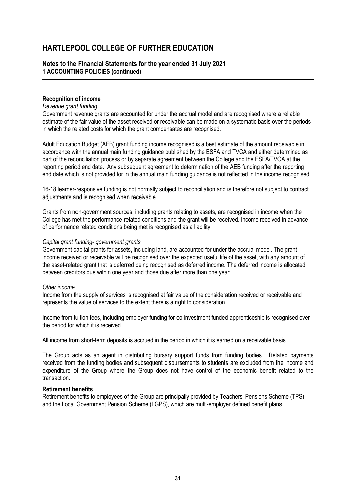#### **Notes to the Financial Statements for the year ended 31 July 2021 1 ACCOUNTING POLICIES (continued)**

#### **Recognition of income**

#### *Revenue grant funding*

Government revenue grants are accounted for under the accrual model and are recognised where a reliable estimate of the fair value of the asset received or receivable can be made on a systematic basis over the periods in which the related costs for which the grant compensates are recognised.

Adult Education Budget (AEB) grant funding income recognised is a best estimate of the amount receivable in accordance with the annual main funding guidance published by the ESFA and TVCA and either determined as part of the reconciliation process or by separate agreement between the College and the ESFA/TVCA at the reporting period end date. Any subsequent agreement to determination of the AEB funding after the reporting end date which is not provided for in the annual main funding guidance is not reflected in the income recognised.

16-18 learner-responsive funding is not normally subject to reconciliation and is therefore not subject to contract adjustments and is recognised when receivable.

Grants from non-government sources, including grants relating to assets, are recognised in income when the College has met the performance-related conditions and the grant will be received. Income received in advance of performance related conditions being met is recognised as a liability.

#### *Capital grant funding- government grants*

Government capital grants for assets, including land, are accounted for under the accrual model. The grant income received or receivable will be recognised over the expected useful life of the asset, with any amount of the asset-related grant that is deferred being recognised as deferred income. The deferred income is allocated between creditors due within one year and those due after more than one year.

#### *Other income*

Income from the supply of services is recognised at fair value of the consideration received or receivable and represents the value of services to the extent there is a right to consideration.

Income from tuition fees, including employer funding for co-investment funded apprenticeship is recognised over the period for which it is received.

All income from short-term deposits is accrued in the period in which it is earned on a receivable basis.

The Group acts as an agent in distributing bursary support funds from funding bodies. Related payments received from the funding bodies and subsequent disbursements to students are excluded from the income and expenditure of the Group where the Group does not have control of the economic benefit related to the transaction.

#### **Retirement benefits**

Retirement benefits to employees of the Group are principally provided by Teachers' Pensions Scheme (TPS) and the Local Government Pension Scheme (LGPS), which are multi-employer defined benefit plans.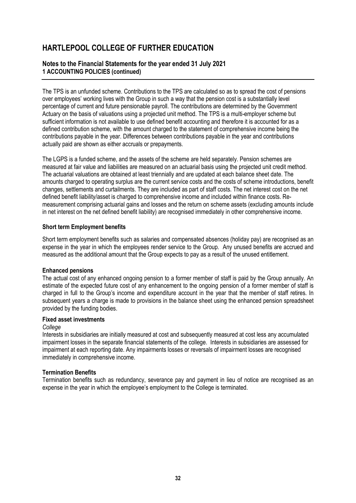### **Notes to the Financial Statements for the year ended 31 July 2021 1 ACCOUNTING POLICIES (continued)**

The TPS is an unfunded scheme. Contributions to the TPS are calculated so as to spread the cost of pensions over employees' working lives with the Group in such a way that the pension cost is a substantially level percentage of current and future pensionable payroll. The contributions are determined by the Government Actuary on the basis of valuations using a projected unit method. The TPS is a multi-employer scheme but sufficient information is not available to use defined benefit accounting and therefore it is accounted for as a defined contribution scheme, with the amount charged to the statement of comprehensive income being the contributions payable in the year. Differences between contributions payable in the year and contributions actually paid are shown as either accruals or prepayments.

The LGPS is a funded scheme, and the assets of the scheme are held separately. Pension schemes are measured at fair value and liabilities are measured on an actuarial basis using the projected unit credit method. The actuarial valuations are obtained at least triennially and are updated at each balance sheet date. The amounts charged to operating surplus are the current service costs and the costs of scheme introductions, benefit changes, settlements and curtailments. They are included as part of staff costs. The net interest cost on the net defined benefit liability/asset is charged to comprehensive income and included within finance costs. Remeasurement comprising actuarial gains and losses and the return on scheme assets (excluding amounts include in net interest on the net defined benefit liability) are recognised immediately in other comprehensive income.

#### **Short term Employment benefits**

Short term employment benefits such as salaries and compensated absences (holiday pay) are recognised as an expense in the year in which the employees render service to the Group. Any unused benefits are accrued and measured as the additional amount that the Group expects to pay as a result of the unused entitlement.

#### **Enhanced pensions**

The actual cost of any enhanced ongoing pension to a former member of staff is paid by the Group annually. An estimate of the expected future cost of any enhancement to the ongoing pension of a former member of staff is charged in full to the Group's income and expenditure account in the year that the member of staff retires. In subsequent years a charge is made to provisions in the balance sheet using the enhanced pension spreadsheet provided by the funding bodies.

#### **Fixed asset investments**

#### *College*

Interests in subsidiaries are initially measured at cost and subsequently measured at cost less any accumulated impairment losses in the separate financial statements of the college. Interests in subsidiaries are assessed for impairment at each reporting date. Any impairments losses or reversals of impairment losses are recognised immediately in comprehensive income.

#### **Termination Benefits**

Termination benefits such as redundancy, severance pay and payment in lieu of notice are recognised as an expense in the year in which the employee's employment to the College is terminated.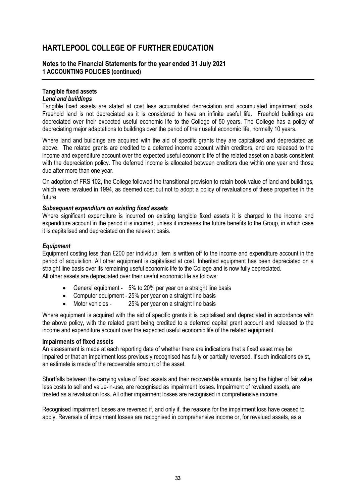### **Notes to the Financial Statements for the year ended 31 July 2021 1 ACCOUNTING POLICIES (continued)**

## **Tangible fixed assets**

### *Land and buildings*

Tangible fixed assets are stated at cost less accumulated depreciation and accumulated impairment costs. Freehold land is not depreciated as it is considered to have an infinite useful life. Freehold buildings are depreciated over their expected useful economic life to the College of 50 years. The College has a policy of depreciating major adaptations to buildings over the period of their useful economic life, normally 10 years.

Where land and buildings are acquired with the aid of specific grants they are capitalised and depreciated as above. The related grants are credited to a deferred income account within creditors, and are released to the income and expenditure account over the expected useful economic life of the related asset on a basis consistent with the depreciation policy. The deferred income is allocated between creditors due within one year and those due after more than one year.

On adoption of FRS 102, the College followed the transitional provision to retain book value of land and buildings, which were revalued in 1994, as deemed cost but not to adopt a policy of revaluations of these properties in the future

#### *Subsequent expenditure on existing fixed assets*

Where significant expenditure is incurred on existing tangible fixed assets it is charged to the income and expenditure account in the period it is incurred, unless it increases the future benefits to the Group, in which case it is capitalised and depreciated on the relevant basis.

### *Equipment*

Equipment costing less than £200 per individual item is written off to the income and expenditure account in the period of acquisition. All other equipment is capitalised at cost. Inherited equipment has been depreciated on a straight line basis over its remaining useful economic life to the College and is now fully depreciated. All other assets are depreciated over their useful economic life as follows:

- General equipment 5% to 20% per year on a straight line basis
- Computer equipment 25% per year on a straight line basis
- Motor vehicles 25% per year on a straight line basis

Where equipment is acquired with the aid of specific grants it is capitalised and depreciated in accordance with the above policy, with the related grant being credited to a deferred capital grant account and released to the income and expenditure account over the expected useful economic life of the related equipment.

#### **Impairments of fixed assets**

An assessment is made at each reporting date of whether there are indications that a fixed asset may be impaired or that an impairment loss previously recognised has fully or partially reversed. If such indications exist, an estimate is made of the recoverable amount of the asset.

Shortfalls between the carrying value of fixed assets and their recoverable amounts, being the higher of fair value less costs to sell and value-in-use, are recognised as impairment losses. Impairment of revalued assets, are treated as a revaluation loss. All other impairment losses are recognised in comprehensive income.

Recognised impairment losses are reversed if, and only if, the reasons for the impairment loss have ceased to apply. Reversals of impairment losses are recognised in comprehensive income or, for revalued assets, as a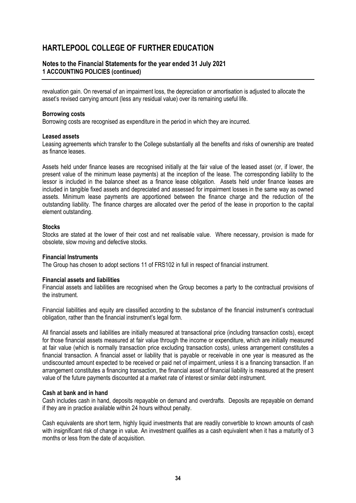### **Notes to the Financial Statements for the year ended 31 July 2021 1 ACCOUNTING POLICIES (continued)**

revaluation gain. On reversal of an impairment loss, the depreciation or amortisation is adjusted to allocate the asset's revised carrying amount (less any residual value) over its remaining useful life.

#### **Borrowing costs**

Borrowing costs are recognised as expenditure in the period in which they are incurred.

#### **Leased assets**

Leasing agreements which transfer to the College substantially all the benefits and risks of ownership are treated as finance leases.

Assets held under finance leases are recognised initially at the fair value of the leased asset (or, if lower, the present value of the minimum lease payments) at the inception of the lease. The corresponding liability to the lessor is included in the balance sheet as a finance lease obligation. Assets held under finance leases are included in tangible fixed assets and depreciated and assessed for impairment losses in the same way as owned assets. Minimum lease payments are apportioned between the finance charge and the reduction of the outstanding liability. The finance charges are allocated over the period of the lease in proportion to the capital element outstanding.

#### **Stocks**

Stocks are stated at the lower of their cost and net realisable value. Where necessary, provision is made for obsolete, slow moving and defective stocks.

#### **Financial Instruments**

The Group has chosen to adopt sections 11 of FRS102 in full in respect of financial instrument.

#### **Financial assets and liabilities**

Financial assets and liabilities are recognised when the Group becomes a party to the contractual provisions of the instrument.

Financial liabilities and equity are classified according to the substance of the financial instrument's contractual obligation, rather than the financial instrument's legal form.

All financial assets and liabilities are initially measured at transactional price (including transaction costs), except for those financial assets measured at fair value through the income or expenditure, which are initially measured at fair value (which is normally transaction price excluding transaction costs), unless arrangement constitutes a financial transaction. A financial asset or liability that is payable or receivable in one year is measured as the undiscounted amount expected to be received or paid net of impairment, unless it is a financing transaction. If an arrangement constitutes a financing transaction, the financial asset of financial liability is measured at the present value of the future payments discounted at a market rate of interest or similar debt instrument.

#### **Cash at bank and in hand**

Cash includes cash in hand, deposits repayable on demand and overdrafts. Deposits are repayable on demand if they are in practice available within 24 hours without penalty.

Cash equivalents are short term, highly liquid investments that are readily convertible to known amounts of cash with insignificant risk of change in value. An investment qualifies as a cash equivalent when it has a maturity of 3 months or less from the date of acquisition.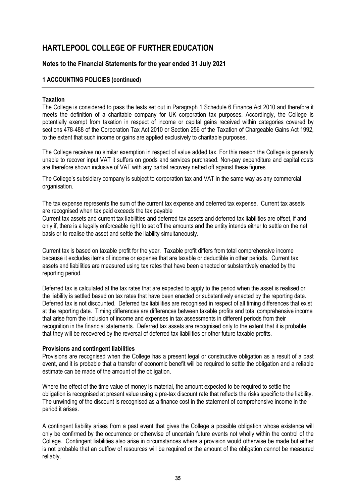### **Notes to the Financial Statements for the year ended 31 July 2021**

#### **1 ACCOUNTING POLICIES (continued)**

#### **Taxation**

The College is considered to pass the tests set out in Paragraph 1 Schedule 6 Finance Act 2010 and therefore it meets the definition of a charitable company for UK corporation tax purposes. Accordingly, the College is potentially exempt from taxation in respect of income or capital gains received within categories covered by sections 478-488 of the Corporation Tax Act 2010 or Section 256 of the Taxation of Chargeable Gains Act 1992, to the extent that such income or gains are applied exclusively to charitable purposes.

The College receives no similar exemption in respect of value added tax. For this reason the College is generally unable to recover input VAT it suffers on goods and services purchased. Non-pay expenditure and capital costs are therefore shown inclusive of VAT with any partial recovery netted off against these figures.

The College's subsidiary company is subject to corporation tax and VAT in the same way as any commercial organisation.

The tax expense represents the sum of the current tax expense and deferred tax expense. Current tax assets are recognised when tax paid exceeds the tax payable

Current tax assets and current tax liabilities and deferred tax assets and deferred tax liabilities are offset, if and only if, there is a legally enforceable right to set off the amounts and the entity intends either to settle on the net basis or to realise the asset and settle the liability simultaneously.

Current tax is based on taxable profit for the year. Taxable profit differs from total comprehensive income because it excludes items of income or expense that are taxable or deductible in other periods. Current tax assets and liabilities are measured using tax rates that have been enacted or substantively enacted by the reporting period.

Deferred tax is calculated at the tax rates that are expected to apply to the period when the asset is realised or the liability is settled based on tax rates that have been enacted or substantively enacted by the reporting date. Deferred tax is not discounted. Deferred tax liabilities are recognised in respect of all timing differences that exist at the reporting date. Timing differences are differences between taxable profits and total comprehensive income that arise from the inclusion of income and expenses in tax assessments in different periods from their recognition in the financial statements. Deferred tax assets are recognised only to the extent that it is probable that they will be recovered by the reversal of deferred tax liabilities or other future taxable profits.

#### **Provisions and contingent liabilities**

Provisions are recognised when the College has a present legal or constructive obligation as a result of a past event, and it is probable that a transfer of economic benefit will be required to settle the obligation and a reliable estimate can be made of the amount of the obligation.

Where the effect of the time value of money is material, the amount expected to be required to settle the obligation is recognised at present value using a pre-tax discount rate that reflects the risks specific to the liability. The unwinding of the discount is recognised as a finance cost in the statement of comprehensive income in the period it arises.

A contingent liability arises from a past event that gives the College a possible obligation whose existence will only be confirmed by the occurrence or otherwise of uncertain future events not wholly within the control of the College. Contingent liabilities also arise in circumstances where a provision would otherwise be made but either is not probable that an outflow of resources will be required or the amount of the obligation cannot be measured reliably.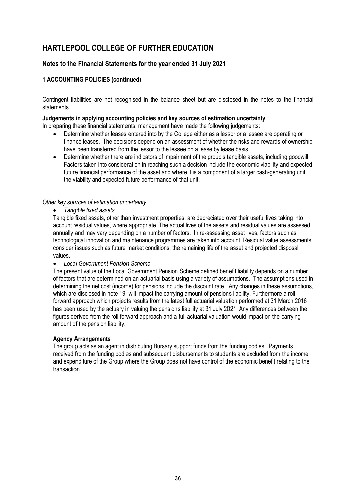## **Notes to the Financial Statements for the year ended 31 July 2021**

### **1 ACCOUNTING POLICIES (continued)**

Contingent liabilities are not recognised in the balance sheet but are disclosed in the notes to the financial statements.

#### **Judgements in applying accounting policies and key sources of estimation uncertainty**

In preparing these financial statements, management have made the following judgements:

- Determine whether leases entered into by the College either as a lessor or a lessee are operating or finance leases. The decisions depend on an assessment of whether the risks and rewards of ownership have been transferred from the lessor to the lessee on a lease by lease basis.
- Determine whether there are indicators of impairment of the group's tangible assets, including goodwill. Factors taken into consideration in reaching such a decision include the economic viability and expected future financial performance of the asset and where it is a component of a larger cash-generating unit, the viability and expected future performance of that unit.

#### *Other key sources of estimation uncertainty*

• *Tangible fixed assets*

Tangible fixed assets, other than investment properties, are depreciated over their useful lives taking into account residual values, where appropriate. The actual lives of the assets and residual values are assessed annually and may vary depending on a number of factors. In re-assessing asset lives, factors such as technological innovation and maintenance programmes are taken into account. Residual value assessments consider issues such as future market conditions, the remaining life of the asset and projected disposal values.

#### • *Local Government Pension Scheme*

The present value of the Local Government Pension Scheme defined benefit liability depends on a number of factors that are determined on an actuarial basis using a variety of assumptions. The assumptions used in determining the net cost (income) for pensions include the discount rate. Any changes in these assumptions, which are disclosed in note 19, will impact the carrying amount of pensions liability. Furthermore a roll forward approach which projects results from the latest full actuarial valuation performed at 31 March 2016 has been used by the actuary in valuing the pensions liability at 31 July 2021. Any differences between the figures derived from the roll forward approach and a full actuarial valuation would impact on the carrying amount of the pension liability.

#### **Agency Arrangements**

The group acts as an agent in distributing Bursary support funds from the funding bodies. Payments received from the funding bodies and subsequent disbursements to students are excluded from the income and expenditure of the Group where the Group does not have control of the economic benefit relating to the transaction.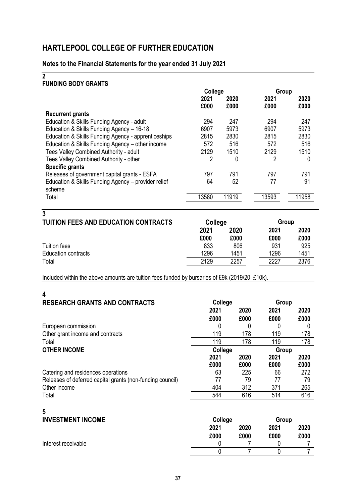## **Notes to the Financial Statements for the year ended 31 July 2021**

## **2**

## **FUNDING BODY GRANTS**

|                                                     | College |       | Group |       |
|-----------------------------------------------------|---------|-------|-------|-------|
|                                                     | 2021    | 2020  | 2021  | 2020  |
|                                                     | £000    | £000  | £000  | £000  |
| <b>Recurrent grants</b>                             |         |       |       |       |
| Education & Skills Funding Agency - adult           | 294     | 247   | 294   | 247   |
| Education & Skills Funding Agency - 16-18           | 6907    | 5973  | 6907  | 5973  |
| Education & Skills Funding Agency - apprenticeships | 2815    | 2830  | 2815  | 2830  |
| Education & Skills Funding Agency - other income    | 572     | 516   | 572   | 516   |
| Tees Valley Combined Authority - adult              | 2129    | 1510  | 2129  | 1510  |
| Tees Valley Combined Authority - other              | 2       | 0     | 2     | 0     |
| <b>Specific grants</b>                              |         |       |       |       |
| Releases of government capital grants - ESFA        | 797     | 791   | 797   | 791   |
| Education & Skills Funding Agency - provider relief | 64      | 52    | 77    | 91    |
| scheme                                              |         |       |       |       |
| Total                                               | 13580   | 11919 | 13593 | 11958 |
|                                                     |         |       |       |       |

| 3<br><b>TUITION FEES AND EDUCATION CONTRACTS</b> | College |      | Group |      |  |
|--------------------------------------------------|---------|------|-------|------|--|
|                                                  | 2021    | 2020 | 2021  | 2020 |  |
|                                                  | £000    | £000 | £000  | £000 |  |
| <b>Tuition fees</b>                              | 833     | 806  | 931   | 925  |  |
| <b>Education contracts</b>                       | 1296    | 1451 | 1296  | 1451 |  |
| Total                                            | 2129    | 2257 | 2227  | 2376 |  |

Included within the above amounts are tuition fees funded by bursaries of £9k (2019/20 £10k).

| 4                                                         |         |      |       |      |
|-----------------------------------------------------------|---------|------|-------|------|
| <b>RESEARCH GRANTS AND CONTRACTS</b>                      | College |      | Group |      |
|                                                           | 2021    | 2020 | 2021  | 2020 |
|                                                           | £000    | £000 | £000  | £000 |
| European commission                                       |         |      |       |      |
| Other grant income and contracts                          | 119     | 178  | 119   | 178  |
| Total                                                     | 119     | 178  | 119   | 178  |
| <b>OTHER INCOME</b>                                       | College |      | Group |      |
|                                                           | 2021    | 2020 | 2021  | 2020 |
|                                                           | £000    | £000 | £000  | £000 |
| Catering and residences operations                        | 63      | 225  | 66    | 272  |
| Releases of deferred capital grants (non-funding council) | 77      | 79   | 77    | 79   |
| Other income                                              | 404     | 312  | 371   | 265  |
| Total                                                     | 544     | 616  | 514   | 616  |
|                                                           |         |      |       |      |

# **5**

| <b>INVESTMENT INCOME</b> | College |      | Group |      |
|--------------------------|---------|------|-------|------|
|                          | 2021    | 2020 | 2021  | 2020 |
|                          | £000    | £000 | £000  | £000 |
| Interest receivable      |         |      |       |      |
|                          |         |      |       |      |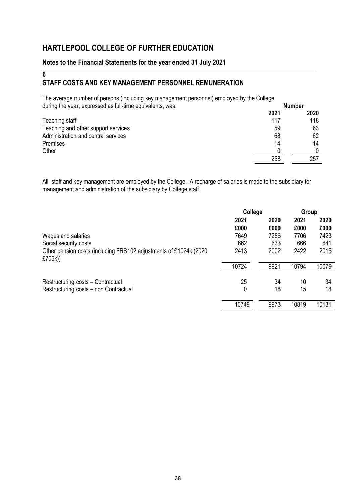## **Notes to the Financial Statements for the year ended 31 July 2021**

## **6 STAFF COSTS AND KEY MANAGEMENT PERSONNEL REMUNERATION**

The average number of persons (including key management personnel) employed by the College during the year, expressed as full-time equivalents, was: **Number**

| admig the year, expressed as fair time equivalently, was. |      | NUMBOL |
|-----------------------------------------------------------|------|--------|
|                                                           | 2021 | 2020   |
| Teaching staff                                            | 117  | 118    |
| Teaching and other support services                       | 59   | 63     |
| Administration and central services                       | 68   | 62     |
| Premises                                                  | 14   | 14     |
| Other                                                     |      |        |
|                                                           | 258  | 257    |

All staff and key management are employed by the College. A recharge of salaries is made to the subsidiary for management and administration of the subsidiary by College staff.

|                                                                               | College |      | Group |       |
|-------------------------------------------------------------------------------|---------|------|-------|-------|
|                                                                               | 2021    | 2020 | 2021  | 2020  |
|                                                                               | £000    | £000 | £000  | £000  |
| Wages and salaries                                                            | 7649    | 7286 | 7706  | 7423  |
| Social security costs                                                         | 662     | 633  | 666   | 641   |
| Other pension costs (including FRS102 adjustments of £1024k (2020)<br>£705k)) | 2413    | 2002 | 2422  | 2015  |
|                                                                               | 10724   | 9921 | 10794 | 10079 |
|                                                                               |         |      |       |       |
| Restructuring costs – Contractual                                             | 25      | 34   | 10    | 34    |
| Restructuring costs - non Contractual                                         | 0       | 18   | 15    | 18    |
|                                                                               | 10749   | 9973 | 10819 | 10131 |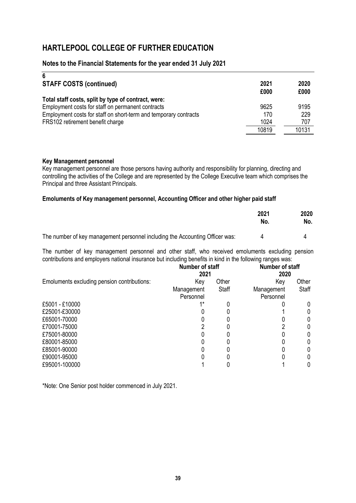### **Notes to the Financial Statements for the year ended 31 July 2021**

| 6                                                                |       |       |
|------------------------------------------------------------------|-------|-------|
| <b>STAFF COSTS (continued)</b>                                   | 2021  | 2020  |
|                                                                  | £000  | £000  |
| Total staff costs, split by type of contract, were:              |       |       |
| Employment costs for staff on permanent contracts                | 9625  | 9195  |
| Employment costs for staff on short-term and temporary contracts | 170   | 229   |
| FRS102 retirement benefit charge                                 | 1024  | 707   |
|                                                                  | 10819 | 10131 |

#### **Key Management personnel**

Key management personnel are those persons having authority and responsibility for planning, directing and controlling the activities of the College and are represented by the College Executive team which comprises the Principal and three Assistant Principals.

#### **Emoluments of Key management personnel, Accounting Officer and other higher paid staff**

|                                                                              | 2021<br>No. | 2020<br>No. |
|------------------------------------------------------------------------------|-------------|-------------|
| The number of key management personnel including the Accounting Officer was: |             |             |

The number of key management personnel and other staff, who received emoluments excluding pension contributions and employers national insurance but including benefits in kind in the following ranges was:

|                                             | Number of staff<br>2021 |       | Number of staff<br>2020 |       |
|---------------------------------------------|-------------------------|-------|-------------------------|-------|
| Emoluments excluding pension contributions: | Key                     | Other | Key                     | Other |
|                                             | Management              | Staff | Management              | Staff |
|                                             | Personnel               |       | Personnel               |       |
| £5001 - £10000                              | $1*$                    |       |                         |       |
| £25001-£30000                               |                         |       |                         |       |
| £65001-70000                                |                         |       |                         |       |
| £70001-75000                                |                         |       |                         |       |
| £75001-80000                                |                         |       |                         |       |
| £80001-85000                                |                         |       |                         |       |
| £85001-90000                                |                         |       |                         |       |
| £90001-95000                                |                         |       |                         |       |
| £95001-100000                               |                         |       |                         |       |

\*Note: One Senior post holder commenced in July 2021.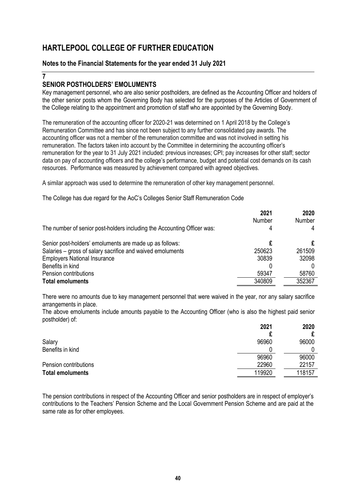### **Notes to the Financial Statements for the year ended 31 July 2021**

#### **7**

### **SENIOR POSTHOLDERS' EMOLUMENTS**

Key management personnel, who are also senior postholders, are defined as the Accounting Officer and holders of the other senior posts whom the Governing Body has selected for the purposes of the Articles of Government of the College relating to the appointment and promotion of staff who are appointed by the Governing Body.

The remuneration of the accounting officer for 2020-21 was determined on 1 April 2018 by the College's Remuneration Committee and has since not been subject to any further consolidated pay awards. The accounting officer was not a member of the remuneration committee and was not involved in setting his remuneration. The factors taken into account by the Committee in determining the accounting officer's remuneration for the year to 31 July 2021 included: previous increases; CPI; pay increases for other staff; sector data on pay of accounting officers and the college's performance, budget and potential cost demands on its cash resources. Performance was measured by achievement compared with agreed objectives.

A similar approach was used to determine the remuneration of other key management personnel.

The College has due regard for the AoC's Colleges Senior Staff Remuneration Code

| The number of senior post-holders including the Accounting Officer was: | 2021<br><b>Number</b><br>4 | 2020<br>Number<br>4 |
|-------------------------------------------------------------------------|----------------------------|---------------------|
| Senior post-holders' emoluments are made up as follows:                 |                            |                     |
| Salaries – gross of salary sacrifice and waived emoluments              | 250623                     | 261509              |
| <b>Employers National Insurance</b>                                     | 30839                      | 32098               |
| Benefits in kind                                                        |                            |                     |
| Pension contributions                                                   | 59347                      | 58760               |
| <b>Total emoluments</b>                                                 | 340809                     | 352367              |

There were no amounts due to key management personnel that were waived in the year, nor any salary sacrifice arrangements in place.

The above emoluments include amounts payable to the Accounting Officer (who is also the highest paid senior postholder) of:

|                         | 2021   | 2020   |
|-------------------------|--------|--------|
|                         |        |        |
| Salary                  | 96960  | 96000  |
| Benefits in kind        |        |        |
|                         | 96960  | 96000  |
| Pension contributions   | 22960  | 22157  |
| <b>Total emoluments</b> | 119920 | 118157 |
|                         |        |        |

The pension contributions in respect of the Accounting Officer and senior postholders are in respect of employer's contributions to the Teachers' Pension Scheme and the Local Government Pension Scheme and are paid at the same rate as for other employees.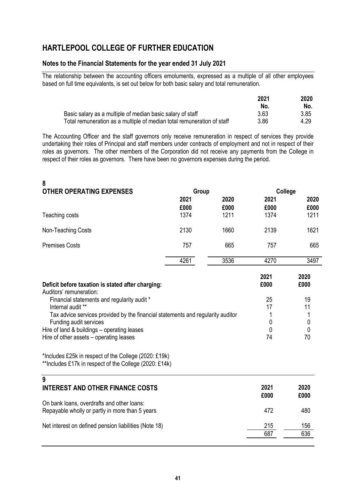### **Notes to the Financial Statements for the year ended 31 July 2021**

The relationship between the accounting officers emoluments, expressed as a multiple of all other employees based on full time equivalents, is set out below for both basic salary and total remuneration.

|                                                                        | 2021 | 2020 |
|------------------------------------------------------------------------|------|------|
|                                                                        | No.  | No.  |
| Basic salary as a multiple of median basic salary of staff             | 3.63 | 3.85 |
| Total remuneration as a multiple of median total remuneration of staff | 3.86 | 4.29 |

The Accounting Officer and the staff governors only receive remuneration in respect of services they provide undertaking their roles of Principal and staff members under contracts of employment and not in respect of their roles as governors. The other members of the Corporation did not receive any payments from the College in respect of their roles as governors. There have been no governors expenses during the period.

| 2021<br>2020<br>2021<br>£000<br>£000<br>£000<br>1211<br>1374<br>1374<br>Teaching costs<br>2130<br>1660<br>2139<br>Non-Teaching Costs<br><b>Premises Costs</b><br>757<br>665<br>757<br>4261<br>3536<br>4270<br>2021<br>2020<br>£000<br>£000<br>Deficit before taxation is stated after charging:<br>Auditors' remuneration:<br>Financial statements and regularity audit *<br>25<br>19<br>Internal audit **<br>17<br>11<br>Tax advice services provided by the financial statements and regularity auditor<br>1<br>1<br>Funding audit services<br>0<br>0<br>$\mathbf 0$<br>Hire of land & buildings - operating leases<br>0<br>Hire of other assets - operating leases<br>74<br>70<br>*Includes £25k in respect of the College (2020: £19k)<br>**Includes £17k in respect of the College (2020: £14k)<br>9<br><b>INTEREST AND OTHER FINANCE COSTS</b><br>2021<br>2020<br>£000<br>£000<br>On bank loans, overdrafts and other loans:<br>472<br>480<br>Repayable wholly or partly in more than 5 years<br>215<br>Net interest on defined pension liabilities (Note 18)<br>156<br>636<br>687 | 8<br><b>OTHER OPERATING EXPENSES</b> | Group | College |              |
|------------------------------------------------------------------------------------------------------------------------------------------------------------------------------------------------------------------------------------------------------------------------------------------------------------------------------------------------------------------------------------------------------------------------------------------------------------------------------------------------------------------------------------------------------------------------------------------------------------------------------------------------------------------------------------------------------------------------------------------------------------------------------------------------------------------------------------------------------------------------------------------------------------------------------------------------------------------------------------------------------------------------------------------------------------------------------------------|--------------------------------------|-------|---------|--------------|
|                                                                                                                                                                                                                                                                                                                                                                                                                                                                                                                                                                                                                                                                                                                                                                                                                                                                                                                                                                                                                                                                                          |                                      |       |         | 2020<br>£000 |
|                                                                                                                                                                                                                                                                                                                                                                                                                                                                                                                                                                                                                                                                                                                                                                                                                                                                                                                                                                                                                                                                                          |                                      |       |         | 1211         |
|                                                                                                                                                                                                                                                                                                                                                                                                                                                                                                                                                                                                                                                                                                                                                                                                                                                                                                                                                                                                                                                                                          |                                      |       |         | 1621         |
|                                                                                                                                                                                                                                                                                                                                                                                                                                                                                                                                                                                                                                                                                                                                                                                                                                                                                                                                                                                                                                                                                          |                                      |       |         | 665          |
|                                                                                                                                                                                                                                                                                                                                                                                                                                                                                                                                                                                                                                                                                                                                                                                                                                                                                                                                                                                                                                                                                          |                                      |       |         | 3497         |
|                                                                                                                                                                                                                                                                                                                                                                                                                                                                                                                                                                                                                                                                                                                                                                                                                                                                                                                                                                                                                                                                                          |                                      |       |         |              |
|                                                                                                                                                                                                                                                                                                                                                                                                                                                                                                                                                                                                                                                                                                                                                                                                                                                                                                                                                                                                                                                                                          |                                      |       |         |              |
|                                                                                                                                                                                                                                                                                                                                                                                                                                                                                                                                                                                                                                                                                                                                                                                                                                                                                                                                                                                                                                                                                          |                                      |       |         |              |
|                                                                                                                                                                                                                                                                                                                                                                                                                                                                                                                                                                                                                                                                                                                                                                                                                                                                                                                                                                                                                                                                                          |                                      |       |         |              |
|                                                                                                                                                                                                                                                                                                                                                                                                                                                                                                                                                                                                                                                                                                                                                                                                                                                                                                                                                                                                                                                                                          |                                      |       |         |              |
|                                                                                                                                                                                                                                                                                                                                                                                                                                                                                                                                                                                                                                                                                                                                                                                                                                                                                                                                                                                                                                                                                          |                                      |       |         |              |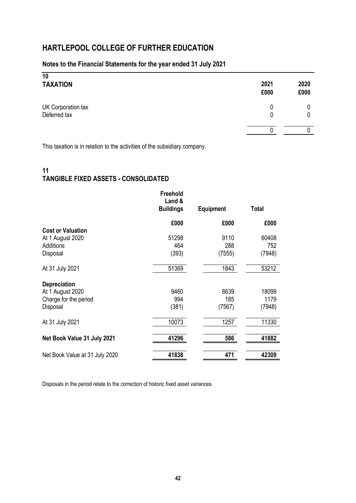## **Notes to the Financial Statements for the year ended 31 July 2021**

| 10<br><b>TAXATION</b>              | 2021<br>£000 | 2020<br>£000 |
|------------------------------------|--------------|--------------|
| UK Corporation tax<br>Deferred tax |              |              |
|                                    |              |              |

This taxation is in relation to the activities of the subsidiary company.

## **11 TANGIBLE FIXED ASSETS - CONSOLIDATED**

|                                | Freehold<br>Land &<br><b>Buildings</b> | <b>Equipment</b> | Total  |
|--------------------------------|----------------------------------------|------------------|--------|
|                                | £000                                   | £000             | £000   |
| <b>Cost or Valuation</b>       |                                        |                  |        |
| At 1 August 2020               | 51298                                  | 9110             | 60408  |
| Additions                      | 464                                    | 288              | 752    |
| Disposal                       | (393)                                  | (7555)           | (7948) |
| At 31 July 2021                | 51369                                  | 1843             | 53212  |
| <b>Depreciation</b>            |                                        |                  |        |
| At 1 August 2020               | 9460                                   | 8639             | 18099  |
| Charge for the period          | 994                                    | 185              | 1179   |
| Disposal                       | (381)                                  | (7567)           | (7948) |
| At 31 July 2021                | 10073                                  | 1257             | 11330  |
| Net Book Value 31 July 2021    | 41296                                  | 586              | 41882  |
| Net Book Value at 31 July 2020 | 41838                                  | 471              | 42309  |

Disposals in the period relate to the correction of historic fixed asset variances.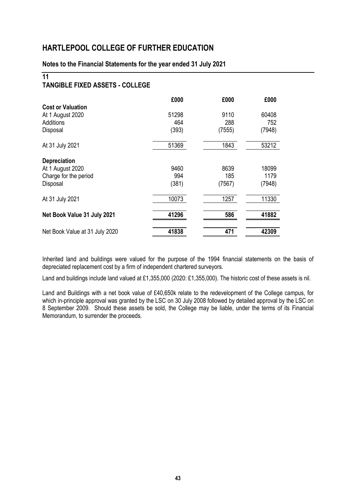### **Notes to the Financial Statements for the year ended 31 July 2021**

## **11**

## **TANGIBLE FIXED ASSETS - COLLEGE**

|                                                                              | £000                  | £000                  | £000                    |
|------------------------------------------------------------------------------|-----------------------|-----------------------|-------------------------|
| <b>Cost or Valuation</b><br>At 1 August 2020<br>Additions<br>Disposal        | 51298<br>464<br>(393) | 9110<br>288<br>(7555) | 60408<br>752<br>(7948)  |
| At 31 July 2021                                                              | 51369                 | 1843                  | 53212                   |
| <b>Depreciation</b><br>At 1 August 2020<br>Charge for the period<br>Disposal | 9460<br>994<br>(381)  | 8639<br>185<br>(7567) | 18099<br>1179<br>(7948) |
| At 31 July 2021                                                              | 10073                 | 1257                  | 11330                   |
| Net Book Value 31 July 2021                                                  | 41296                 | 586                   | 41882                   |
| Net Book Value at 31 July 2020                                               | 41838                 | 471                   | 42309                   |

Inherited land and buildings were valued for the purpose of the 1994 financial statements on the basis of depreciated replacement cost by a firm of independent chartered surveyors.

Land and buildings include land valued at £1,355,000 (2020: £1,355,000). The historic cost of these assets is nil.

Land and Buildings with a net book value of £40,650k relate to the redevelopment of the College campus, for which in-principle approval was granted by the LSC on 30 July 2008 followed by detailed approval by the LSC on 8 September 2009. Should these assets be sold, the College may be liable, under the terms of its Financial Memorandum, to surrender the proceeds.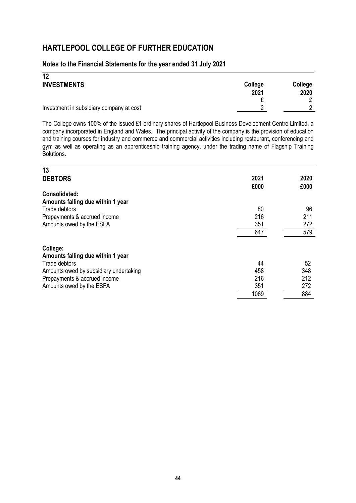### **Notes to the Financial Statements for the year ended 31 July 2021**

| 12                                       |         |         |
|------------------------------------------|---------|---------|
| <b>INVESTMENTS</b>                       | College | College |
|                                          | 2021    | 2020    |
|                                          |         |         |
| Investment in subsidiary company at cost | റ       |         |

The College owns 100% of the issued £1 ordinary shares of Hartlepool Business Development Centre Limited, a company incorporated in England and Wales. The principal activity of the company is the provision of education and training courses for industry and commerce and commercial activities including restaurant, conferencing and gym as well as operating as an apprenticeship training agency, under the trading name of Flagship Training Solutions.

| 13                                     |      |      |
|----------------------------------------|------|------|
| <b>DEBTORS</b>                         | 2021 | 2020 |
|                                        | £000 | £000 |
| <b>Consolidated:</b>                   |      |      |
| Amounts falling due within 1 year      |      |      |
| Trade debtors                          | 80   | 96   |
| Prepayments & accrued income           | 216  | 211  |
| Amounts owed by the ESFA               | 351  | 272  |
|                                        | 647  | 579  |
| College:                               |      |      |
| Amounts falling due within 1 year      |      |      |
| Trade debtors                          | 44   | 52   |
| Amounts owed by subsidiary undertaking | 458  | 348  |
| Prepayments & accrued income           | 216  | 212  |
| Amounts owed by the ESFA               | 351  | 272  |
|                                        | 1069 | 884  |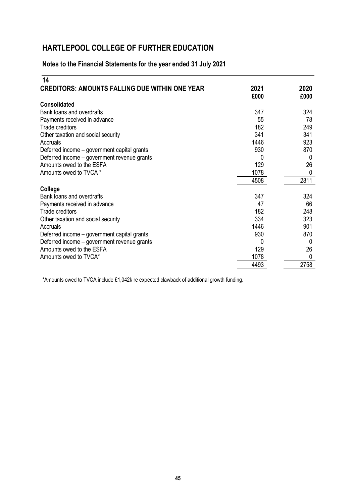## **Notes to the Financial Statements for the year ended 31 July 2021**

| 14                                                    |      |      |
|-------------------------------------------------------|------|------|
| <b>CREDITORS: AMOUNTS FALLING DUE WITHIN ONE YEAR</b> | 2021 | 2020 |
|                                                       | £000 | £000 |
| <b>Consolidated</b>                                   |      |      |
| Bank loans and overdrafts                             | 347  | 324  |
| Payments received in advance                          | 55   | 78   |
| <b>Trade creditors</b>                                | 182  | 249  |
| Other taxation and social security                    | 341  | 341  |
| Accruals                                              | 1446 | 923  |
| Deferred income – government capital grants           | 930  | 870  |
| Deferred income - government revenue grants           | 0    | 0    |
| Amounts owed to the ESFA                              | 129  | 26   |
| Amounts owed to TVCA *                                | 1078 | 0    |
|                                                       | 4508 | 2811 |
| College                                               |      |      |
| Bank loans and overdrafts                             | 347  | 324  |
| Payments received in advance                          | 47   | 66   |
| <b>Trade creditors</b>                                | 182  | 248  |
| Other taxation and social security                    | 334  | 323  |
| Accruals                                              | 1446 | 901  |
| Deferred income – government capital grants           | 930  | 870  |
| Deferred income - government revenue grants           | 0    | 0    |
| Amounts owed to the ESFA                              | 129  | 26   |
| Amounts owed to TVCA*                                 | 1078 | 0    |
|                                                       | 4493 | 2758 |

**\***Amounts owed to TVCA include £1,042k re expected clawback of additional growth funding.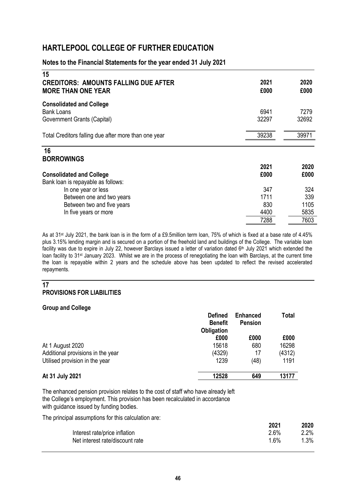#### **Notes to the Financial Statements for the year ended 31 July 2021**

| 15<br><b>CREDITORS: AMOUNTS FALLING DUE AFTER</b>    | 2021  | 2020  |
|------------------------------------------------------|-------|-------|
| <b>MORE THAN ONE YEAR</b>                            | £000  | £000  |
| <b>Consolidated and College</b>                      |       |       |
| <b>Bank Loans</b>                                    | 6941  | 7279  |
| Government Grants (Capital)                          | 32297 | 32692 |
| Total Creditors falling due after more than one year | 39238 | 39971 |
| 16                                                   |       |       |
| <b>BORROWINGS</b>                                    |       |       |
|                                                      | 2021  | 2020  |
| <b>Consolidated and College</b>                      | £000  | £000  |
| Bank loan is repayable as follows:                   |       |       |
| In one year or less                                  | 347   | 324   |
| Between one and two years                            | 1711  | 339   |
| Between two and five years                           | 830   | 1105  |
| In five years or more                                | 4400  | 5835  |
|                                                      | 7288  | 7603  |

As at 31st July 2021, the bank loan is in the form of a £9.5million term loan, 75% of which is fixed at a base rate of 4.45% plus 3.15% lending margin and is secured on a portion of the freehold land and buildings of the College. The variable loan facility was due to expire in July 22, however Barclays issued a letter of variation dated 6<sup>th</sup> July 2021 which extended the loan facility to 31st January 2023. Whilst we are in the process of renegotiating the loan with Barclays, at the current time the loan is repayable within 2 years and the schedule above has been updated to reflect the revised accelerated repayments.

#### **17 PROVISIONS FOR LIABILITIES**

#### **Group and College**

|                                   | <b>Defined</b><br><b>Benefit</b><br><b>Obligation</b> | <b>Enhanced</b><br><b>Pension</b> | <b>Total</b> |
|-----------------------------------|-------------------------------------------------------|-----------------------------------|--------------|
|                                   | £000                                                  | £000                              | £000         |
| At 1 August 2020                  | 15618                                                 | 680                               | 16298        |
| Additional provisions in the year | (4329)                                                | 17                                | (4312)       |
| Utilised provision in the year    | 1239                                                  | (48)                              | 1191         |
| At 31 July 2021                   | 12528                                                 | 649                               | 13177        |

The enhanced pension provision relates to the cost of staff who have already left the College's employment. This provision has been recalculated in accordance with guidance issued by funding bodies.

The principal assumptions for this calculation are:

|                                 | 2021 | 2020 |
|---------------------------------|------|------|
| Interest rate/price inflation   | 2.6% | 2.2% |
| Net interest rate/discount rate | 1 6% | 1.3% |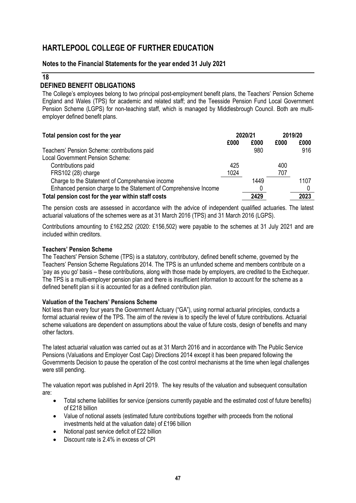### **Notes to the Financial Statements for the year ended 31 July 2021**

#### **18**

## **DEFINED BENEFIT OBLIGATIONS**

The College's employees belong to two principal post-employment benefit plans, the Teachers' Pension Scheme England and Wales (TPS) for academic and related staff; and the Teesside Pension Fund Local Government Pension Scheme (LGPS) for non-teaching staff, which is managed by Middlesbrough Council. Both are multiemployer defined benefit plans.

| Total pension cost for the year                                  |      | 2020/21 |      | 2019/20 |  |
|------------------------------------------------------------------|------|---------|------|---------|--|
|                                                                  | £000 | £000    | £000 | £000    |  |
| Teachers' Pension Scheme: contributions paid                     |      | 980     |      | 916     |  |
| Local Government Pension Scheme:                                 |      |         |      |         |  |
| Contributions paid                                               | 425  |         | 400  |         |  |
| FRS102 (28) charge                                               | 1024 |         | 707  |         |  |
| Charge to the Statement of Comprehensive income                  |      | 1449    |      | 1107    |  |
| Enhanced pension charge to the Statement of Comprehensive Income |      | 0       |      |         |  |
| Total pension cost for the year within staff costs               |      | 2429    |      | 2023    |  |

The pension costs are assessed in accordance with the advice of independent qualified actuaries. The latest actuarial valuations of the schemes were as at 31 March 2016 (TPS) and 31 March 2016 (LGPS).

Contributions amounting to £162,252 (2020: £156,502) were payable to the schemes at 31 July 2021 and are included within creditors.

#### **Teachers' Pension Scheme**

The Teachers' Pension Scheme (TPS) is a statutory, contributory, defined benefit scheme, governed by the Teachers' Pension Scheme Regulations 2014. The TPS is an unfunded scheme and members contribute on a 'pay as you go' basis – these contributions, along with those made by employers, are credited to the Exchequer. The TPS is a multi-employer pension plan and there is insufficient information to account for the scheme as a defined benefit plan si it is accounted for as a defined contribution plan.

#### **Valuation of the Teachers' Pensions Scheme**

Not less than every four years the Government Actuary ("GA"), using normal actuarial principles, conducts a formal actuarial review of the TPS. The aim of the review is to specify the level of future contributions. Actuarial scheme valuations are dependent on assumptions about the value of future costs, design of benefits and many other factors.

The latest actuarial valuation was carried out as at 31 March 2016 and in accordance with The Public Service Pensions (Valuations and Employer Cost Cap) Directions 2014 except it has been prepared following the Governments Decision to pause the operation of the cost control mechanisms at the time when legal challenges were still pending.

The valuation report was published in April 2019. The key results of the valuation and subsequent consultation are:

- Total scheme liabilities for service (pensions currently payable and the estimated cost of future benefits) of £218 billion
- Value of notional assets (estimated future contributions together with proceeds from the notional investments held at the valuation date) of £196 billion
- Notional past service deficit of £22 billion
- Discount rate is 2.4% in excess of CPI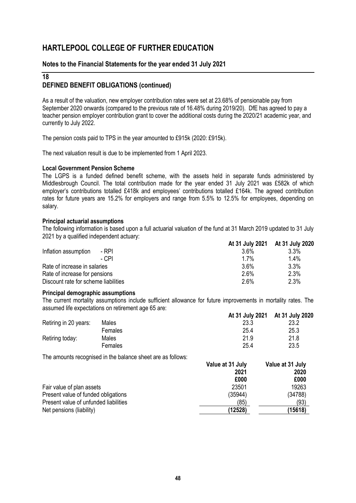### **Notes to the Financial Statements for the year ended 31 July 2021**

### **18 DEFINED BENEFIT OBLIGATIONS (continued)**

As a result of the valuation, new employer contribution rates were set at 23.68% of pensionable pay from September 2020 onwards (compared to the previous rate of 16.48% during 2019/20). DfE has agreed to pay a teacher pension employer contribution grant to cover the additional costs during the 2020/21 academic year, and currently to July 2022.

The pension costs paid to TPS in the year amounted to £915k (2020: £915k).

The next valuation result is due to be implemented from 1 April 2023.

#### **Local Government Pension Scheme**

The LGPS is a funded defined benefit scheme, with the assets held in separate funds administered by Middlesbrough Council. The total contribution made for the year ended 31 July 2021 was £582k of which employer's contributions totalled £418k and employees' contributions totalled £164k. The agreed contribution rates for future years are 15.2% for employers and range from 5.5% to 12.5% for employees, depending on salary.

#### **Principal actuarial assumptions**

The following information is based upon a full actuarial valuation of the fund at 31 March 2019 updated to 31 July 2021 by a qualified independent actuary:

|                                      | At 31 July 2021 At 31 July 2020 |         |
|--------------------------------------|---------------------------------|---------|
| Inflation assumption<br>- RPI        | 3.6%                            | 3.3%    |
| - CPI                                | $1.7\%$                         | $1.4\%$ |
| Rate of increase in salaries         | 3.6%                            | 3.3%    |
| Rate of increase for pensions        | 2.6%                            | 2.3%    |
| Discount rate for scheme liabilities | 2.6%                            | 2.3%    |

#### **Principal demographic assumptions**

The current mortality assumptions include sufficient allowance for future improvements in mortality rates. The assumed life expectations on retirement age 65 are:

|                       |         | At 31 July 2021 At 31 July 2020 |      |
|-----------------------|---------|---------------------------------|------|
| Retiring in 20 years: | Males   | 23.3                            | 23.2 |
|                       | Females | 25.4                            | 25.3 |
| Retiring today:       | Males   | 21.9                            | 21.8 |
|                       | Females | 25.4                            | 23.5 |

The amounts recognised in the balance sheet are as follows:

| Value at 31 July | Value at 31 July |
|------------------|------------------|
| 2021             | 2020             |
| £000             | £000             |
| 23501            | 19263            |
| (35944)          | (34788)          |
| (85)             | (93)             |
| (12528)          | (15618)          |
|                  |                  |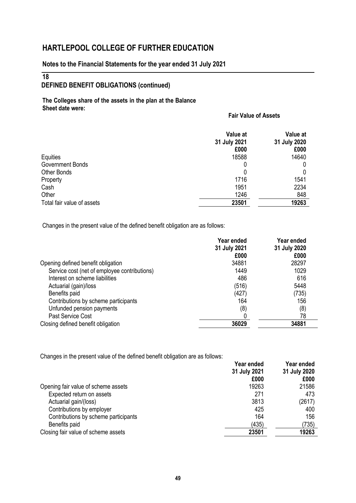### **Notes to the Financial Statements for the year ended 31 July 2021**

### **18**

## **DEFINED BENEFIT OBLIGATIONS (continued)**

**The Colleges share of the assets in the plan at the Balance Sheet date were:**

### **Fair Value of Assets**

|                            | Value at<br>31 July 2021<br>£000 | Value at<br>31 July 2020<br>£000 |
|----------------------------|----------------------------------|----------------------------------|
| Equities                   | 18588                            | 14640                            |
| Government Bonds           | 0                                |                                  |
| Other Bonds                |                                  | 0                                |
| Property                   | 1716                             | 1541                             |
| Cash                       | 1951                             | 2234                             |
| Other                      | 1246                             | 848                              |
| Total fair value of assets | 23501                            | 19263                            |

Changes in the present value of the defined benefit obligation are as follows:

|                                              | Year ended<br>31 July 2021 | Year ended<br>31 July 2020 |
|----------------------------------------------|----------------------------|----------------------------|
|                                              | £000                       | £000                       |
| Opening defined benefit obligation           | 34881                      | 28297                      |
| Service cost (net of employee contributions) | 1449                       | 1029                       |
| Interest on scheme liabilities               | 486                        | 616                        |
| Actuarial (gain)/loss                        | (516)                      | 5448                       |
| Benefits paid                                | (427)                      | (735)                      |
| Contributions by scheme participants         | 164                        | 156                        |
| Unfunded pension payments                    | (8)                        | (8)                        |
| Past Service Cost                            |                            | 78                         |
| Closing defined benefit obligation           | 36029                      | 34881                      |

Changes in the present value of the defined benefit obligation are as follows:

|                                      | Year ended   | Year ended   |
|--------------------------------------|--------------|--------------|
|                                      | 31 July 2021 | 31 July 2020 |
|                                      | £000         | £000         |
| Opening fair value of scheme assets  | 19263        | 21586        |
| Expected return on assets            | 271          | 473          |
| Actuarial gain/(loss)                | 3813         | (2617)       |
| Contributions by employer            | 425          | 400          |
| Contributions by scheme participants | 164          | 156          |
| Benefits paid                        | (435)        | (735)        |
| Closing fair value of scheme assets  | 23501        | 19263        |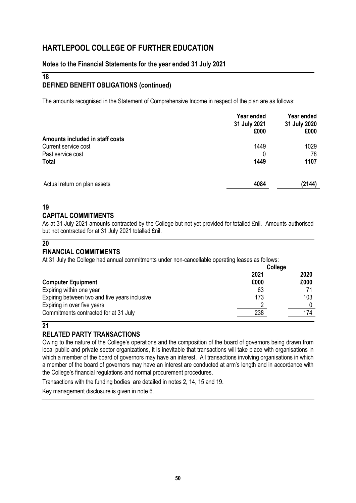### **Notes to the Financial Statements for the year ended 31 July 2021**

## **18**

## **DEFINED BENEFIT OBLIGATIONS (continued)**

The amounts recognised in the Statement of Comprehensive Income in respect of the plan are as follows:

|                                 | Year ended<br>31 July 2021<br>£000 | Year ended<br>31 July 2020<br>£000 |
|---------------------------------|------------------------------------|------------------------------------|
| Amounts included in staff costs |                                    |                                    |
| Current service cost            | 1449                               | 1029                               |
| Past service cost               | 0                                  | 78                                 |
| <b>Total</b>                    | 1449                               | 1107                               |
| Actual return on plan assets    | 4084                               | (2144)                             |

## **19**

## **CAPITAL COMMITMENTS**

As at 31 July 2021 amounts contracted by the College but not yet provided for totalled £nil. Amounts authorised but not contracted for at 31 July 2021 totalled £nil.

### **20**

## **FINANCIAL COMMITMENTS**

At 31 July the College had annual commitments under non-cancellable operating leases as follows:

|                                               | College |      |
|-----------------------------------------------|---------|------|
|                                               | 2021    | 2020 |
| <b>Computer Equipment</b>                     | £000    | £000 |
| Expiring within one year                      | 63      |      |
| Expiring between two and five years inclusive | 173     | 103  |
| Expiring in over five years                   |         |      |
| Commitments contracted for at 31 July         | 238     | 174  |

## **21**

## **RELATED PARTY TRANSACTIONS**

Owing to the nature of the College's operations and the composition of the board of governors being drawn from local public and private sector organizations, it is inevitable that transactions will take place with organisations in which a member of the board of governors may have an interest. All transactions involving organisations in which a member of the board of governors may have an interest are conducted at arm's length and in accordance with the College's financial regulations and normal procurement procedures.

Transactions with the funding bodies are detailed in notes 2, 14, 15 and 19.

Key management disclosure is given in note 6.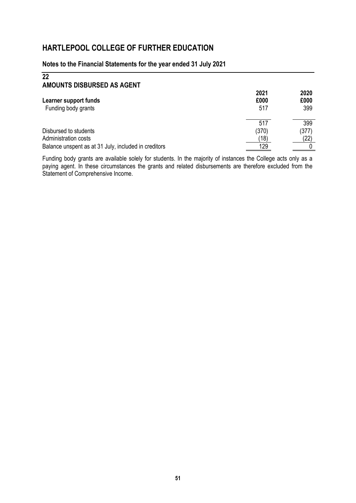## **Notes to the Financial Statements for the year ended 31 July 2021**

| 22<br>AMOUNTS DISBURSED AS AGENT                                                                      |                             |                      |
|-------------------------------------------------------------------------------------------------------|-----------------------------|----------------------|
| Learner support funds<br>Funding body grants                                                          | 2021<br>£000<br>517         | 2020<br>£000<br>399  |
| Disbursed to students<br>Administration costs<br>Balance unspent as at 31 July, included in creditors | 517<br>(370)<br>(18)<br>129 | 399<br>(377)<br>(22) |

Funding body grants are available solely for students. In the majority of instances the College acts only as a paying agent. In these circumstances the grants and related disbursements are therefore excluded from the Statement of Comprehensive Income.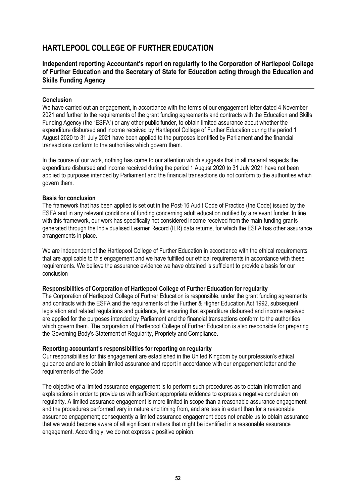## **Independent reporting Accountant's report on regularity to the Corporation of Hartlepool College of Further Education and the Secretary of State for Education acting through the Education and Skills Funding Agency**

#### **Conclusion**

We have carried out an engagement, in accordance with the terms of our engagement letter dated 4 November 2021 and further to the requirements of the grant funding agreements and contracts with the Education and Skills Funding Agency (the "ESFA") or any other public funder, to obtain limited assurance about whether the expenditure disbursed and income received by Hartlepool College of Further Education during the period 1 August 2020 to 31 July 2021 have been applied to the purposes identified by Parliament and the financial transactions conform to the authorities which govern them.

In the course of our work, nothing has come to our attention which suggests that in all material respects the expenditure disbursed and income received during the period 1 August 2020 to 31 July 2021 have not been applied to purposes intended by Parliament and the financial transactions do not conform to the authorities which govern them.

#### **Basis for conclusion**

The framework that has been applied is set out in the Post-16 Audit Code of Practice (the Code) issued by the ESFA and in any relevant conditions of funding concerning adult education notified by a relevant funder. In line with this framework, our work has specifically not considered income received from the main funding grants generated through the Individualised Learner Record (ILR) data returns, for which the ESFA has other assurance arrangements in place.

We are independent of the Hartlepool College of Further Education in accordance with the ethical requirements that are applicable to this engagement and we have fulfilled our ethical requirements in accordance with these requirements. We believe the assurance evidence we have obtained is sufficient to provide a basis for our conclusion

#### **Responsibilities of Corporation of Hartlepool College of Further Education for regularity**

The Corporation of Hartlepool College of Further Education is responsible, under the grant funding agreements and contracts with the ESFA and the requirements of the Further & Higher Education Act 1992, subsequent legislation and related regulations and guidance, for ensuring that expenditure disbursed and income received are applied for the purposes intended by Parliament and the financial transactions conform to the authorities which govern them. The corporation of Hartlepool College of Further Education is also responsible for preparing the Governing Body's Statement of Regularity, Propriety and Compliance.

#### **Reporting accountant's responsibilities for reporting on regularity**

Our responsibilities for this engagement are established in the United Kingdom by our profession's ethical guidance and are to obtain limited assurance and report in accordance with our engagement letter and the requirements of the Code.

The objective of a limited assurance engagement is to perform such procedures as to obtain information and explanations in order to provide us with sufficient appropriate evidence to express a negative conclusion on regularity. A limited assurance engagement is more limited in scope than a reasonable assurance engagement and the procedures performed vary in nature and timing from, and are less in extent than for a reasonable assurance engagement; consequently a limited assurance engagement does not enable us to obtain assurance that we would become aware of all significant matters that might be identified in a reasonable assurance engagement. Accordingly, we do not express a positive opinion.